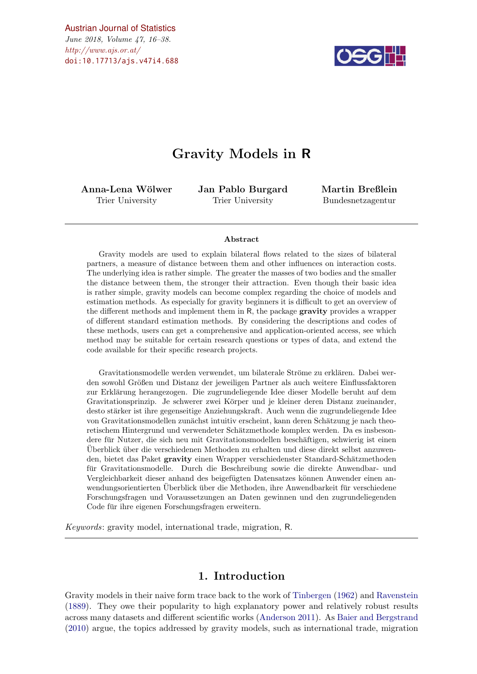[Austrian Journal of Statistics](http://www.ajs.or.at)

 $http://www.ajs.or.at/$ June 2018, Volume 47, 16–38. [doi:10.17713/ajs.v47i4.688](http://dx.doi.org/10.17713/ajs.v47i4.688)



# Gravity Models in R

Anna-Lena Wölwer Trier University

Jan Pablo Burgard Trier University

Martin Breßlein Bundesnetzagentur

#### Abstract

Gravity models are used to explain bilateral flows related to the sizes of bilateral partners, a measure of distance between them and other influences on interaction costs. The underlying idea is rather simple. The greater the masses of two bodies and the smaller the distance between them, the stronger their attraction. Even though their basic idea is rather simple, gravity models can become complex regarding the choice of models and estimation methods. As especially for gravity beginners it is difficult to get an overview of the different methods and implement them in R, the package gravity provides a wrapper of different standard estimation methods. By considering the descriptions and codes of these methods, users can get a comprehensive and application-oriented access, see which method may be suitable for certain research questions or types of data, and extend the code available for their specific research projects.

Gravitationsmodelle werden verwendet, um bilaterale Ströme zu erklären. Dabei werden sowohl Größen und Distanz der jeweiligen Partner als auch weitere Einflussfaktoren zur Erklärung herangezogen. Die zugrundeliegende Idee dieser Modelle beruht auf dem Gravitationsprinzip. Je schwerer zwei Körper und je kleiner deren Distanz zueinander, desto stärker ist ihre gegenseitige Anziehungskraft. Auch wenn die zugrundeliegende Idee von Gravitationsmodellen zunächst intuitiv erscheint, kann deren Schätzung je nach theoretischem Hintergrund und verwendeter Schätzmethode komplex werden. Da es insbesondere für Nutzer, die sich neu mit Gravitationsmodellen beschäftigen, schwierig ist einen Uberblick ¨ uber die verschiedenen Methoden zu erhalten und diese direkt selbst anzuwen- ¨ den, bietet das Paket gravity einen Wrapper verschiedenster Standard-Schätzmethoden für Gravitationsmodelle. Durch die Beschreibung sowie die direkte Anwendbar- und Vergleichbarkeit dieser anhand des beigefügten Datensatzes können Anwender einen anwendungsorientierten Überblick über die Methoden, ihre Anwendbarkeit für verschiedene Forschungsfragen und Voraussetzungen an Daten gewinnen und den zugrundeliegenden Code für ihre eigenen Forschungsfragen erweitern.

Keywords: gravity model, international trade, migration, R.

## 1. Introduction

<span id="page-0-0"></span>Gravity models in their naive form trace back to the work of [Tinbergen](#page-22-0) [\(1962\)](#page-22-0) and [Ravenstein](#page-22-1) [\(1889\)](#page-22-1). They owe their popularity to high explanatory power and relatively robust results across many datasets and different scientific works [\(Anderson](#page-20-0) [2011\)](#page-20-0). As [Baier and Bergstrand](#page-20-1) [\(2010\)](#page-20-1) argue, the topics addressed by gravity models, such as international trade, migration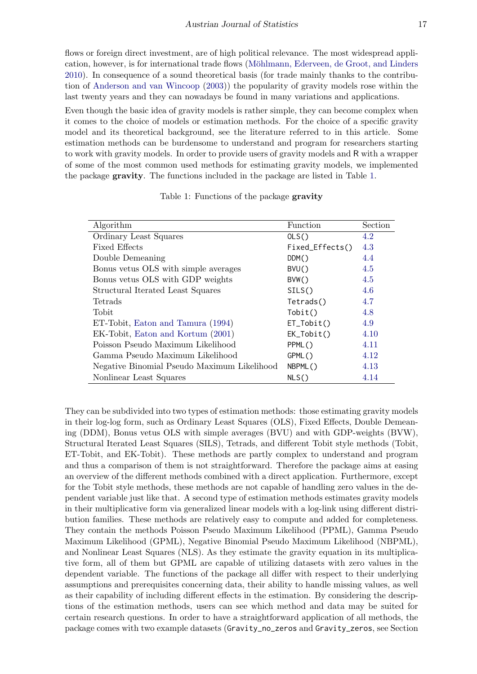flows or foreign direct investment, are of high political relevance. The most widespread application, however, is for international trade flows (Möhlmann, Ederveen, de Groot, and Linders [2010\)](#page-22-2). In consequence of a sound theoretical basis (for trade mainly thanks to the contribution of [Anderson and van Wincoop](#page-20-2) [\(2003\)](#page-20-2)) the popularity of gravity models rose within the last twenty years and they can nowadays be found in many variations and applications.

Even though the basic idea of gravity models is rather simple, they can become complex when it comes to the choice of models or estimation methods. For the choice of a specific gravity model and its theoretical background, see the literature referred to in this article. Some estimation methods can be burdensome to understand and program for researchers starting to work with gravity models. In order to provide users of gravity models and R with a wrapper of some of the most common used methods for estimating gravity models, we implemented the package gravity. The functions included in the package are listed in Table [1.](#page-1-0)

<span id="page-1-0"></span>

| Algorithm                                   | Function        | Section |
|---------------------------------------------|-----------------|---------|
| Ordinary Least Squares                      | OLS()           | 4.2     |
| <b>Fixed Effects</b>                        | Fixed_Effects() | 4.3     |
| Double Demeaning                            | DDM()           | 4.4     |
| Bonus vetus OLS with simple averages        | BVU()           | 4.5     |
| Bonus vetus OLS with GDP weights            | BVW()           | 4.5     |
| Structural Iterated Least Squares           | SILS()          | 4.6     |
| Tetrads                                     | Tetrads()       | 4.7     |
| Tobit                                       | Tobit()         | 4.8     |
| ET-Tobit, Eaton and Tamura (1994)           | $ET\_Tobit()$   | 4.9     |
| EK-Tobit, Eaton and Kortum (2001)           | $EK\_Tobit()$   | 4.10    |
| Poisson Pseudo Maximum Likelihood           | PPML()          | 4.11    |
| Gamma Pseudo Maximum Likelihood             | GPML()          | 4.12    |
| Negative Binomial Pseudo Maximum Likelihood | NBPML()         | 4.13    |
| Nonlinear Least Squares                     | NLS()           | 4.14    |

Table 1: Functions of the package gravity

They can be subdivided into two types of estimation methods: those estimating gravity models in their log-log form, such as Ordinary Least Squares (OLS), Fixed Effects, Double Demeaning (DDM), Bonus vetus OLS with simple averages (BVU) and with GDP-weights (BVW), Structural Iterated Least Squares (SILS), Tetrads, and different Tobit style methods (Tobit, ET-Tobit, and EK-Tobit). These methods are partly complex to understand and program and thus a comparison of them is not straightforward. Therefore the package aims at easing an overview of the different methods combined with a direct application. Furthermore, except for the Tobit style methods, these methods are not capable of handling zero values in the dependent variable just like that. A second type of estimation methods estimates gravity models in their multiplicative form via generalized linear models with a log-link using different distribution families. These methods are relatively easy to compute and added for completeness. They contain the methods Poisson Pseudo Maximum Likelihood (PPML), Gamma Pseudo Maximum Likelihood (GPML), Negative Binomial Pseudo Maximum Likelihood (NBPML), and Nonlinear Least Squares (NLS). As they estimate the gravity equation in its multiplicative form, all of them but GPML are capable of utilizing datasets with zero values in the dependent variable. The functions of the package all differ with respect to their underlying assumptions and prerequisites concerning data, their ability to handle missing values, as well as their capability of including different effects in the estimation. By considering the descriptions of the estimation methods, users can see which method and data may be suited for certain research questions. In order to have a straightforward application of all methods, the package comes with two example datasets (Gravity\_no\_zeros and Gravity\_zeros, see Section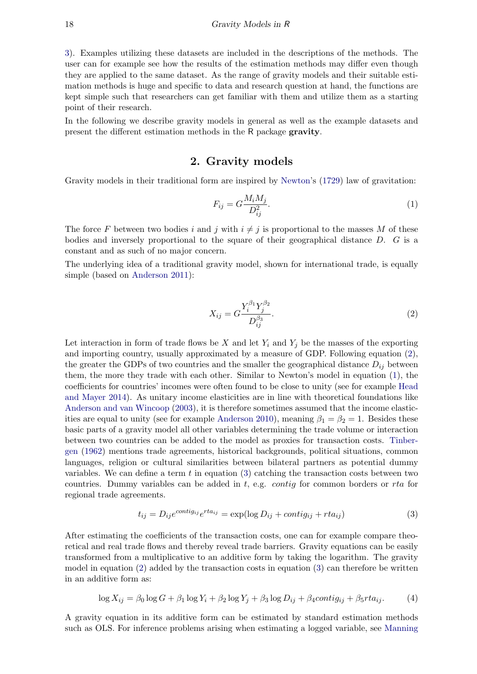[3\)](#page-5-0). Examples utilizing these datasets are included in the descriptions of the methods. The user can for example see how the results of the estimation methods may differ even though they are applied to the same dataset. As the range of gravity models and their suitable estimation methods is huge and specific to data and research question at hand, the functions are kept simple such that researchers can get familiar with them and utilize them as a starting point of their research.

In the following we describe gravity models in general as well as the example datasets and present the different estimation methods in the R package gravity.

## 2. Gravity models

<span id="page-2-4"></span>Gravity models in their traditional form are inspired by [Newton'](#page-22-3)s [\(1729\)](#page-22-3) law of gravitation:

<span id="page-2-1"></span>
$$
F_{ij} = G \frac{M_i M_j}{D_{ij}^2}.
$$
\n<sup>(1)</sup>

The force F between two bodies i and j with  $i \neq j$  is proportional to the masses M of these bodies and inversely proportional to the square of their geographical distance  $D$ .  $G$  is a constant and as such of no major concern.

The underlying idea of a traditional gravity model, shown for international trade, is equally simple (based on [Anderson](#page-20-0) [2011\)](#page-20-0):

<span id="page-2-0"></span>
$$
X_{ij} = G \frac{Y_i^{\beta_1} Y_j^{\beta_2}}{D_{ij}^{\beta_3}}.
$$
\n(2)

Let interaction in form of trade flows be X and let  $Y_i$  and  $Y_j$  be the masses of the exporting and importing country, usually approximated by a measure of GDP. Following equation [\(2\)](#page-2-0), the greater the GDPs of two countries and the smaller the geographical distance  $D_{ij}$  between them, the more they trade with each other. Similar to Newton's model in equation [\(1\)](#page-2-1), the coefficients for countries' incomes were often found to be close to unity (see for example [Head](#page-21-2) [and Mayer](#page-21-2) [2014\)](#page-21-2). As unitary income elasticities are in line with theoretical foundations like [Anderson and van Wincoop](#page-20-2) [\(2003\)](#page-20-2), it is therefore sometimes assumed that the income elastic-ities are equal to unity (see for example [Anderson](#page-20-3) [2010\)](#page-20-3), meaning  $\beta_1 = \beta_2 = 1$ . Besides these basic parts of a gravity model all other variables determining the trade volume or interaction between two countries can be added to the model as proxies for transaction costs. [Tinber](#page-22-0)[gen](#page-22-0) [\(1962\)](#page-22-0) mentions trade agreements, historical backgrounds, political situations, common languages, religion or cultural similarities between bilateral partners as potential dummy variables. We can define a term  $t$  in equation [\(3\)](#page-2-2) catching the transaction costs between two countries. Dummy variables can be added in  $t$ , e.g. *contig* for common borders or  $rta$  for regional trade agreements.

<span id="page-2-3"></span><span id="page-2-2"></span>
$$
t_{ij} = D_{ij}e^{contig_{ij}}e^{rta_{ij}} = \exp(\log D_{ij} + contig_{ij} + rta_{ij})
$$
\n(3)

After estimating the coefficients of the transaction costs, one can for example compare theoretical and real trade flows and thereby reveal trade barriers. Gravity equations can be easily transformed from a multiplicative to an additive form by taking the logarithm. The gravity model in equation [\(2\)](#page-2-0) added by the transaction costs in equation [\(3\)](#page-2-2) can therefore be written in an additive form as:

$$
\log X_{ij} = \beta_0 \log G + \beta_1 \log Y_i + \beta_2 \log Y_j + \beta_3 \log D_{ij} + \beta_4 contig_{ij} + \beta_5 r t a_{ij}.
$$
 (4)

A gravity equation in its additive form can be estimated by standard estimation methods such as OLS. For inference problems arising when estimating a logged variable, see [Manning](#page-21-3)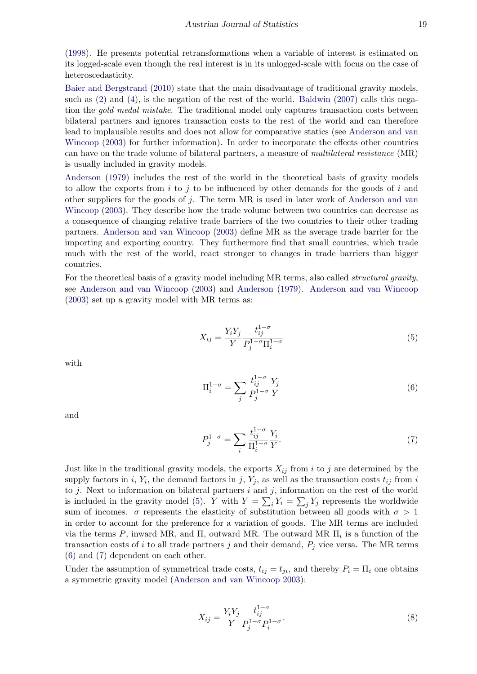[\(1998\)](#page-21-3). He presents potential retransformations when a variable of interest is estimated on its logged-scale even though the real interest is in its unlogged-scale with focus on the case of heteroscedasticity.

[Baier and Bergstrand](#page-20-1) [\(2010\)](#page-20-1) state that the main disadvantage of traditional gravity models, such as [\(2\)](#page-2-0) and [\(4\)](#page-2-3), is the negation of the rest of the world. [Baldwin](#page-20-4) [\(2007\)](#page-20-4) calls this negation the *gold medal mistake*. The traditional model only captures transaction costs between bilateral partners and ignores transaction costs to the rest of the world and can therefore lead to implausible results and does not allow for comparative statics (see [Anderson and van](#page-20-2) [Wincoop](#page-20-2) [\(2003\)](#page-20-2) for further information). In order to incorporate the effects other countries can have on the trade volume of bilateral partners, a measure of multilateral resistance (MR) is usually included in gravity models.

[Anderson](#page-20-5) [\(1979\)](#page-20-5) includes the rest of the world in the theoretical basis of gravity models to allow the exports from i to j to be influenced by other demands for the goods of i and other suppliers for the goods of j. The term  $MR$  is used in later work of [Anderson and van](#page-20-2) [Wincoop](#page-20-2) [\(2003\)](#page-20-2). They describe how the trade volume between two countries can decrease as a consequence of changing relative trade barriers of the two countries to their other trading partners. [Anderson and van Wincoop](#page-20-2) [\(2003\)](#page-20-2) define MR as the average trade barrier for the importing and exporting country. They furthermore find that small countries, which trade much with the rest of the world, react stronger to changes in trade barriers than bigger countries.

For the theoretical basis of a gravity model including MR terms, also called *structural gravity*, see [Anderson and van Wincoop](#page-20-2) [\(2003\)](#page-20-2) and [Anderson](#page-20-5) [\(1979\)](#page-20-5). [Anderson and van Wincoop](#page-20-2) [\(2003\)](#page-20-2) set up a gravity model with MR terms as:

<span id="page-3-0"></span>
$$
X_{ij} = \frac{Y_i Y_j}{Y} \frac{t_{ij}^{1-\sigma}}{P_j^{1-\sigma} \Pi_i^{1-\sigma}}
$$
\n(5)

with

<span id="page-3-1"></span>
$$
\Pi_i^{1-\sigma} = \sum_j \frac{t_{ij}^{1-\sigma}}{P_j^{1-\sigma}} \frac{Y_j}{Y} \tag{6}
$$

and

<span id="page-3-2"></span>
$$
P_j^{1-\sigma} = \sum_i \frac{t_{ij}^{1-\sigma}}{\Pi_i^{1-\sigma}} \frac{Y_i}{Y}.\tag{7}
$$

Just like in the traditional gravity models, the exports  $X_{ij}$  from i to j are determined by the supply factors in i,  $Y_i$ , the demand factors in j,  $Y_j$ , as well as the transaction costs  $t_{ij}$  from i to  $j$ . Next to information on bilateral partners  $i$  and  $j$ , information on the rest of the world is included in the gravity model [\(5\)](#page-3-0). Y with  $Y = \sum_i Y_i = \sum_j Y_j$  represents the worldwide sum of incomes.  $\sigma$  represents the elasticity of substitution between all goods with  $\sigma > 1$ in order to account for the preference for a variation of goods. The MR terms are included via the terms P, inward MR, and  $\Pi$ , outward MR. The outward MR  $\Pi_i$  is a function of the transaction costs of i to all trade partners j and their demand,  $P_i$  vice versa. The MR terms [\(6\)](#page-3-1) and [\(7\)](#page-3-2) dependent on each other.

Under the assumption of symmetrical trade costs,  $t_{ij} = t_{ji}$ , and thereby  $P_i = \Pi_i$  one obtains a symmetric gravity model [\(Anderson and van Wincoop](#page-20-2) [2003\)](#page-20-2):

$$
X_{ij} = \frac{Y_i Y_j}{Y} \frac{t_{ij}^{1-\sigma}}{P_j^{1-\sigma} P_i^{1-\sigma}}.
$$
\n(8)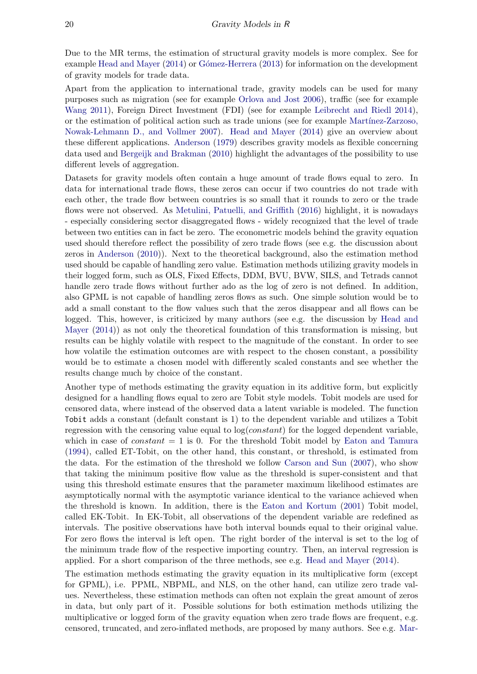Due to the MR terms, the estimation of structural gravity models is more complex. See for example [Head and Mayer](#page-21-2) [\(2014\)](#page-21-2) or Gómez-Herrera [\(2013\)](#page-21-4) for information on the development of gravity models for trade data.

Apart from the application to international trade, gravity models can be used for many purposes such as migration (see for example [Orlova and Jost](#page-22-4) [2006\)](#page-22-4), traffic (see for example [Wang](#page-22-5) [2011\)](#page-22-5), Foreign Direct Investment (FDI) (see for example [Leibrecht and Riedl](#page-21-5) [2014\)](#page-21-5), or the estimation of political action such as trade unions (see for example Martínez-Zarzoso, [Nowak-Lehmann D., and Vollmer](#page-22-6) [2007\)](#page-22-6). [Head and Mayer](#page-21-2) [\(2014\)](#page-21-2) give an overview about these different applications. [Anderson](#page-20-5) [\(1979\)](#page-20-5) describes gravity models as flexible concerning data used and [Bergeijk and Brakman](#page-20-6) [\(2010\)](#page-20-6) highlight the advantages of the possibility to use different levels of aggregation.

Datasets for gravity models often contain a huge amount of trade flows equal to zero. In data for international trade flows, these zeros can occur if two countries do not trade with each other, the trade flow between countries is so small that it rounds to zero or the trade flows were not observed. As [Metulini, Patuelli, and Griffith](#page-22-7) [\(2016\)](#page-22-7) highlight, it is nowadays - especially considering sector disaggregated flows - widely recognized that the level of trade between two entities can in fact be zero. The econometric models behind the gravity equation used should therefore reflect the possibility of zero trade flows (see e.g. the discussion about zeros in [Anderson](#page-20-3) [\(2010\)](#page-20-3)). Next to the theoretical background, also the estimation method used should be capable of handling zero value. Estimation methods utilizing gravity models in their logged form, such as OLS, Fixed Effects, DDM, BVU, BVW, SILS, and Tetrads cannot handle zero trade flows without further ado as the log of zero is not defined. In addition, also GPML is not capable of handling zeros flows as such. One simple solution would be to add a small constant to the flow values such that the zeros disappear and all flows can be logged. This, however, is criticized by many authors (see e.g. the discussion by [Head and](#page-21-2) [Mayer](#page-21-2) [\(2014\)](#page-21-2)) as not only the theoretical foundation of this transformation is missing, but results can be highly volatile with respect to the magnitude of the constant. In order to see how volatile the estimation outcomes are with respect to the chosen constant, a possibility would be to estimate a chosen model with differently scaled constants and see whether the results change much by choice of the constant.

Another type of methods estimating the gravity equation in its additive form, but explicitly designed for a handling flows equal to zero are Tobit style models. Tobit models are used for censored data, where instead of the observed data a latent variable is modeled. The function Tobit adds a constant (default constant is 1) to the dependent variable and utilizes a Tobit regression with the censoring value equal to  $log(constant)$  for the logged dependent variable, which in case of *constant*  $= 1$  is 0. For the threshold Tobit model by [Eaton and Tamura](#page-21-0) [\(1994\)](#page-21-0), called ET-Tobit, on the other hand, this constant, or threshold, is estimated from the data. For the estimation of the threshold we follow [Carson and Sun](#page-20-7) [\(2007\)](#page-20-7), who show that taking the minimum positive flow value as the threshold is super-consistent and that using this threshold estimate ensures that the parameter maximum likelihood estimates are asymptotically normal with the asymptotic variance identical to the variance achieved when the threshold is known. In addition, there is the [Eaton and Kortum](#page-21-1) [\(2001\)](#page-21-1) Tobit model, called EK-Tobit. In EK-Tobit, all observations of the dependent variable are redefined as intervals. The positive observations have both interval bounds equal to their original value. For zero flows the interval is left open. The right border of the interval is set to the log of the minimum trade flow of the respective importing country. Then, an interval regression is applied. For a short comparison of the three methods, see e.g. [Head and Mayer](#page-21-2) [\(2014\)](#page-21-2).

The estimation methods estimating the gravity equation in its multiplicative form (except for GPML), i.e. PPML, NBPML, and NLS, on the other hand, can utilize zero trade values. Nevertheless, these estimation methods can often not explain the great amount of zeros in data, but only part of it. Possible solutions for both estimation methods utilizing the multiplicative or logged form of the gravity equation when zero trade flows are frequent, e.g. censored, truncated, and zero-inflated methods, are proposed by many authors. See e.g. [Mar-](#page-21-6)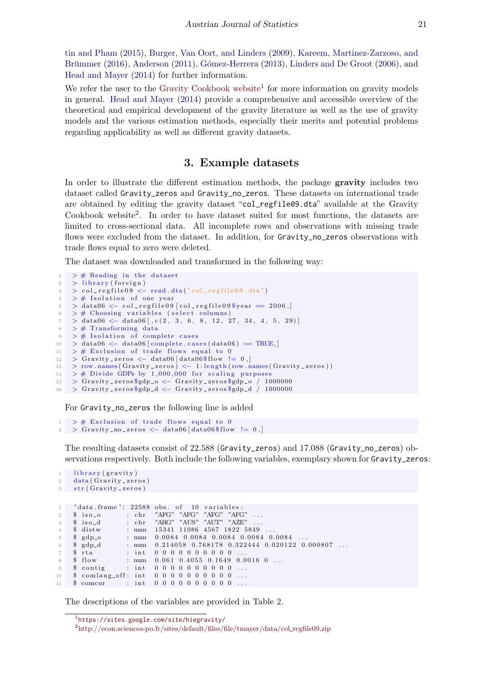[tin and Pham](#page-21-6) [\(2015\)](#page-21-6), [Burger, Van Oort, and Linders](#page-20-8) [\(2009\)](#page-20-8), [Kareem, Martinez-Zarzoso, and](#page-21-7) Brümmer [\(2016\)](#page-21-7), [Anderson](#page-20-0) [\(2011\)](#page-20-0), Gómez-Herrera [\(2013\)](#page-21-4), [Linders and De Groot](#page-21-8) [\(2006\)](#page-21-8), and [Head and Mayer](#page-21-2) [\(2014\)](#page-21-2) for further information.

We refer the user to the [Gravity Cookbook website](https://sites.google.com/site/hiegravity/)<sup>[1](#page-5-1)</sup> for more information on gravity models in general. [Head and Mayer](#page-21-2) [\(2014\)](#page-21-2) provide a comprehensive and accessible overview of the theoretical and empirical development of the gravity literature as well as the use of gravity models and the various estimation methods, especially their merits and potential problems regarding applicability as well as different gravity datasets.

## 3. Example datasets

<span id="page-5-0"></span>In order to illustrate the different estimation methods, the package gravity includes two dataset called Gravity\_zeros and Gravity\_no\_zeros. These datasets on international trade are obtained by editing the gravity dataset "col\_regfile09.dta" available at the Gravity Cookbook website<sup>[2](#page-5-2)</sup>. In order to have dataset suited for most functions, the datasets are limited to cross-sectional data. All incomplete rows and observations with missing trade flows were excluded from the dataset. In addition, for Gravity<sub>ro</sub> zeros observations with trade flows equal to zero were deleted.

The dataset was downloaded and transformed in the following way:

```
1 > # Reading in the dataset
2 > 1ibrary (foreign)
3 > col_regfile09 \leftarrow read.dta("col_regfile09.dta")
4 > # Isolation of one year
5 > data06 \leftarrow col\_regfile09[col\_regfile09\6 > # Choosing variables (select columns)
7 > data06 \leftarrow data06[, c(2, 3, 6, 8, 12, 27, 34, 4, 5, 29)]8 > # Transforming data
9 > # Isolation of complete cases
10 > data06 \leftarrow data06 \leftarrow complete cases (data06) = TRUE,
11 > # Exclusion of trade flows equal to 0
12 > Gravity_zeros < data06 data06$flow != 0,
13 > row names (Gravity_zeros) < 1: length (row names (Gravity\_zeros))14 > # Divide GDPs by 1,000,000 for scaling purposes
15 > Gravity_zeros$gdp_o <- Gravity_zeros$gdp_o / 1000000
16 > Gravity_zeros q_d \leftarrow Gravity_zeros q_d
```
For Gravity\_no\_zeros the following line is added

```
> # Exclusion of trade flows equal to 0
2 > Gravity_no_zeros <- data06 [data06$flow != 0,]
```
1 library (gravity)

The resulting datasets consist of 22.588 (Gravity\_zeros) and 17.088 (Gravity\_no\_zeros) observations respectively. Both include the following variables, exemplary shown for Gravity\_zeros:

```
2 = data ( Gravity\_zeros)3 str (Gravity_zeros)
 1 ' data . frame ': 22588 obs . of 10 variables :<br>2 $ iso_o : chr "AFG" "AFG" "AFG" "AFC
2 \quad $ iso_o : chr "AFG" "AFG" "AFG" "AFG" ...
\frac{3}{4} $ iso_d : chr "ARG" "AUS" "AUT" "AZE"<br>4 $ distw : num 15341 11086 4567 1822 58
 4 $ distw : num 15341 11086 4567 1822 5849
5 \quad \  \  \, \texttt{\$} \quad \  \  \, \texttt{gdp\_o} \qquad \qquad : \quad \text{num} \quad \  \  0.0084 \quad 0.0084 \quad 0.0084 \quad 0.0084 \quad 0.0084 \quad \ldots6 $ gdp_d : num 0.214058 0.768178 0.322444 0.020122 0.000807 ...<br>7 $ rta : int 0 0 0 0 0 0 0 0 0 0 ...
 7 \quad $ r t a : int 0 0 0 0 0 0 0 0 0 0 ..
8 \quad $ flow : num 0.061 0.4055 0.1649 0.0016 0 ...
9 $ contig : int 0 0 0 0 0 0 0 0 0 0 ...
10 \quad $ comlang_off: int 0 0 0 0 0 0 0 0 0 0 ...
11 $ comcur : int 0 0 0 0 0 0 0 0 0 0 ...
```
The descriptions of the variables are provided in Table [2.](#page-6-0)

<span id="page-5-1"></span><sup>1</sup> <https://sites.google.com/site/hiegravity/>

<span id="page-5-2"></span> $^{2}$ [http://econ.sciences-po.fr/sites/default/files/file/tmayer/data/col](http://econ.sciences-po.fr/sites/default/files/file/tmayer/data/col_regfile09.zip)\_regfile09.zip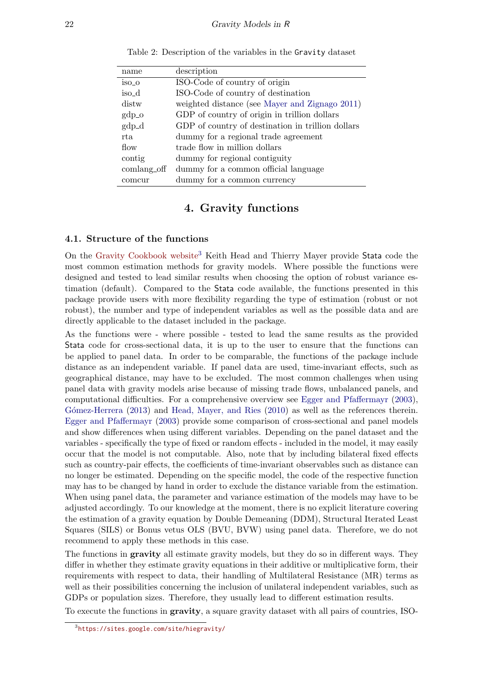<span id="page-6-0"></span>

| name        | description                                       |
|-------------|---------------------------------------------------|
| iso_o       | ISO-Code of country of origin                     |
| iso_d       | ISO-Code of country of destination                |
| distw       | weighted distance (see Mayer and Zignago 2011)    |
| $gdp\_o$    | GDP of country of origin in trillion dollars      |
| $gdp_d$     | GDP of country of destination in trillion dollars |
| rta.        | dummy for a regional trade agreement              |
| flow        | trade flow in million dollars                     |
| contig      | dummy for regional contiguity                     |
| comlang_off | dummy for a common official language              |
| comcur      | dummy for a common currency                       |
|             |                                                   |

Table 2: Description of the variables in the Gravity dataset

## 4. Gravity functions

#### 4.1. Structure of the functions

On the [Gravity Cookbook website](https://sites.google.com/site/hiegravity/)[3](#page-6-1) Keith Head and Thierry Mayer provide Stata code the most common estimation methods for gravity models. Where possible the functions were designed and tested to lead similar results when choosing the option of robust variance estimation (default). Compared to the Stata code available, the functions presented in this package provide users with more flexibility regarding the type of estimation (robust or not robust), the number and type of independent variables as well as the possible data and are directly applicable to the dataset included in the package.

As the functions were - where possible - tested to lead the same results as the provided Stata code for cross-sectional data, it is up to the user to ensure that the functions can be applied to panel data. In order to be comparable, the functions of the package include distance as an independent variable. If panel data are used, time-invariant effects, such as geographical distance, may have to be excluded. The most common challenges when using panel data with gravity models arise because of missing trade flows, unbalanced panels, and computational difficulties. For a comprehensive overview see [Egger and Pfaffermayr](#page-21-9) [\(2003\)](#page-21-9), Gómez-Herrera [\(2013\)](#page-21-4) and [Head, Mayer, and Ries](#page-21-10) [\(2010\)](#page-21-10) as well as the references therein. [Egger and Pfaffermayr](#page-21-9) [\(2003\)](#page-21-9) provide some comparison of cross-sectional and panel models and show differences when using different variables. Depending on the panel dataset and the variables - specifically the type of fixed or random effects - included in the model, it may easily occur that the model is not computable. Also, note that by including bilateral fixed effects such as country-pair effects, the coefficients of time-invariant observables such as distance can no longer be estimated. Depending on the specific model, the code of the respective function may has to be changed by hand in order to exclude the distance variable from the estimation. When using panel data, the parameter and variance estimation of the models may have to be adjusted accordingly. To our knowledge at the moment, there is no explicit literature covering the estimation of a gravity equation by Double Demeaning (DDM), Structural Iterated Least Squares (SILS) or Bonus vetus OLS (BVU, BVW) using panel data. Therefore, we do not recommend to apply these methods in this case.

The functions in **gravity** all estimate gravity models, but they do so in different ways. They differ in whether they estimate gravity equations in their additive or multiplicative form, their requirements with respect to data, their handling of Multilateral Resistance (MR) terms as well as their possibilities concerning the inclusion of unilateral independent variables, such as GDPs or population sizes. Therefore, they usually lead to different estimation results.

To execute the functions in gravity, a square gravity dataset with all pairs of countries, ISO-

<span id="page-6-1"></span><sup>3</sup> <https://sites.google.com/site/hiegravity/>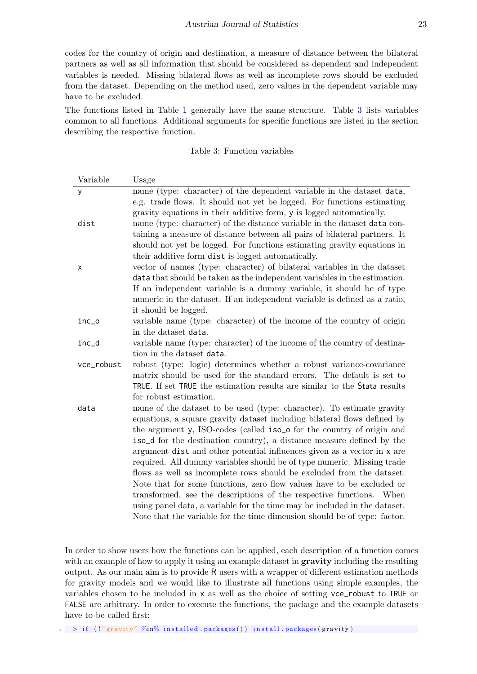codes for the country of origin and destination, a measure of distance between the bilateral partners as well as all information that should be considered as dependent and independent variables is needed. Missing bilateral flows as well as incomplete rows should be excluded from the dataset. Depending on the method used, zero values in the dependent variable may have to be excluded.

The functions listed in Table [1](#page-1-0) generally have the same structure. Table [3](#page-7-0) lists variables common to all functions. Additional arguments for specific functions are listed in the section describing the respective function.

| Table 3: Function variables |  |  |
|-----------------------------|--|--|
|-----------------------------|--|--|

<span id="page-7-0"></span>

| Variable   | Usage                                                                              |
|------------|------------------------------------------------------------------------------------|
| y          | name (type: character) of the dependent variable in the dataset data,              |
|            | e.g. trade flows. It should not yet be logged. For functions estimating            |
|            | gravity equations in their additive form, y is logged automatically.               |
| dist       | name (type: character) of the distance variable in the dataset data con-           |
|            | taining a measure of distance between all pairs of bilateral partners. It          |
|            | should not yet be logged. For functions estimating gravity equations in            |
|            | their additive form dist is logged automatically.                                  |
| x          | vector of names (type: character) of bilateral variables in the dataset            |
|            | data that should be taken as the independent variables in the estimation.          |
|            | If an independent variable is a dummy variable, it should be of type               |
|            | numeric in the dataset. If an independent variable is defined as a ratio,          |
|            | it should be logged.                                                               |
| inc_o      | variable name (type: character) of the income of the country of origin             |
|            | in the dataset data.                                                               |
| inc_d      | variable name (type: character) of the income of the country of destina-           |
|            | tion in the dataset data.                                                          |
| vce_robust | robust (type: logic) determines whether a robust variance-covariance               |
|            | matrix should be used for the standard errors. The default is set to               |
|            | TRUE. If set TRUE the estimation results are similar to the Stata results          |
|            | for robust estimation.                                                             |
| data       | name of the dataset to be used (type: character). To estimate gravity              |
|            | equations, a square gravity dataset including bilateral flows defined by           |
|            | the argument y, ISO-codes (called iso <sub>-</sub> o for the country of origin and |
|            | iso_d for the destination country), a distance measure defined by the              |
|            | argument dist and other potential influences given as a vector in x are            |
|            | required. All dummy variables should be of type numeric. Missing trade             |
|            | flows as well as incomplete rows should be excluded from the dataset.              |
|            | Note that for some functions, zero flow values have to be excluded or              |
|            | transformed, see the descriptions of the respective functions. When                |
|            | using panel data, a variable for the time may be included in the dataset.          |
|            | Note that the variable for the time dimension should be of type: factor.           |

In order to show users how the functions can be applied, each description of a function comes with an example of how to apply it using an example dataset in **gravity** including the resulting output. As our main aim is to provide R users with a wrapper of different estimation methods for gravity models and we would like to illustrate all functions using simple examples, the variables chosen to be included in x as well as the choice of setting vce\_robust to TRUE or FALSE are arbitrary. In order to execute the functions, the package and the example datasets have to be called first:

 $1 > if$  (!" gravity" %in% installed packages ()) install packages (gravity)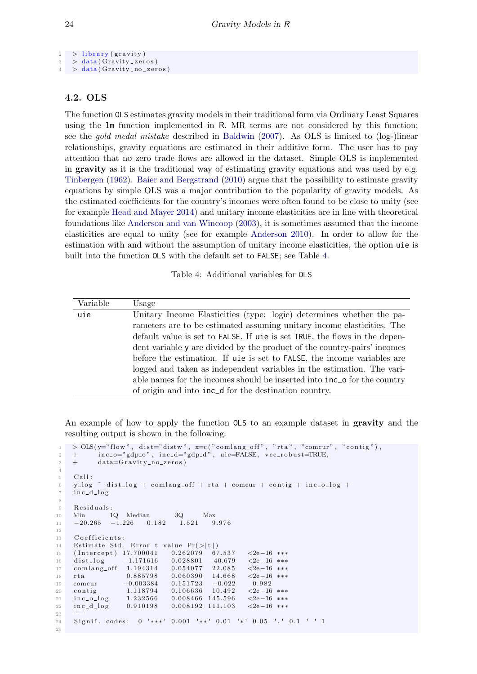```
2 > library (gravity)
3 > data ( Gravity\_zeros)4 > data ( Gravity-no\_zeros)
```
## <span id="page-8-0"></span>4.2. OLS

The function OLS estimates gravity models in their traditional form via Ordinary Least Squares using the lm function implemented in R. MR terms are not considered by this function; see the gold medal mistake described in [Baldwin](#page-20-4) [\(2007\)](#page-20-4). As OLS is limited to (log-)linear relationships, gravity equations are estimated in their additive form. The user has to pay attention that no zero trade flows are allowed in the dataset. Simple OLS is implemented in gravity as it is the traditional way of estimating gravity equations and was used by e.g. [Tinbergen](#page-22-0) [\(1962\)](#page-22-0). [Baier and Bergstrand](#page-20-1) [\(2010\)](#page-20-1) argue that the possibility to estimate gravity equations by simple OLS was a major contribution to the popularity of gravity models. As the estimated coefficients for the country's incomes were often found to be close to unity (see for example [Head and Mayer](#page-21-2) [2014\)](#page-21-2) and unitary income elasticities are in line with theoretical foundations like [Anderson and van Wincoop](#page-20-2) [\(2003\)](#page-20-2), it is sometimes assumed that the income elasticities are equal to unity (see for example [Anderson](#page-20-3) [2010\)](#page-20-3). In order to allow for the estimation with and without the assumption of unitary income elasticities, the option uie is built into the function OLS with the default set to FALSE; see Table [4.](#page-8-1)

Table 4: Additional variables for OLS

<span id="page-8-1"></span>

| Variable | Usage                                                                             |
|----------|-----------------------------------------------------------------------------------|
| uie      | Unitary Income Elasticities (type: logic) determines whether the pa-              |
|          | rameters are to be estimated assuming unitary income elasticities. The            |
|          | default value is set to FALSE. If uie is set TRUE, the flows in the depen-        |
|          | dent variable y are divided by the product of the country-pairs' incomes          |
|          | before the estimation. If uie is set to FALSE, the income variables are           |
|          | logged and taken as independent variables in the estimation. The vari-            |
|          | able names for the incomes should be inserted into $\text{inc}_o$ for the country |
|          | of origin and into $\text{inc}_d$ for the destination country.                    |

An example of how to apply the function OLS to an example dataset in gravity and the resulting output is shown in the following:

```
1 > OLS(y="flow", dist="distw", x=c("comlang-off", "rta", "comm", "contig"),\lim_{z \to 0} inc_o="gdp_o", inc_d="gdp_d", uie=FALSE, vce_robust=TRUE,
3 + data=Gravity_no_zeros)
4
5 Call:
\frac{6}{9} y log \degree dist log + comlang of f + rta + comcur + contig + inc_o_log +
7 \quad \text{inc}_d \, \text{log}8
9 Residuals:
10 Min 1Q Median 3Q Max
11 -20.265 -1.226 0.182 1.521 9.97612
13 Coefficients:
14 Estimate Std. Error t value Pr(>|t|)15 (Intercept) 17.700041 0.262079 67.537 <2e-16 ***
16 dist_log −1.171616 0.028801 −40.679 <2e−16 ***<br>17 comlang_off 1.194314 0.054077 22.085 <2e−16 ***
17 comlang_off 1.194314 0.054077 22.085
18 rta 0.885798 0.060390 14.668 <2e−16 ***
19 comcur −0.003384 0.151723 −0.022 0.982
20 contig 1.118794 0.106636 10.492 <2e−16 ***
21 inc_o_log 1.232566 0.008466 145.596 <2e-16 ***
22 inc_d_log 0.910198 0.008192 111.103 <2e−16 ***
23 −−−
24 Signif. codes: 0 '***' 0.001 '**' 0.01 '*' 0.05 '.' 0.1 ' ' 1
25
```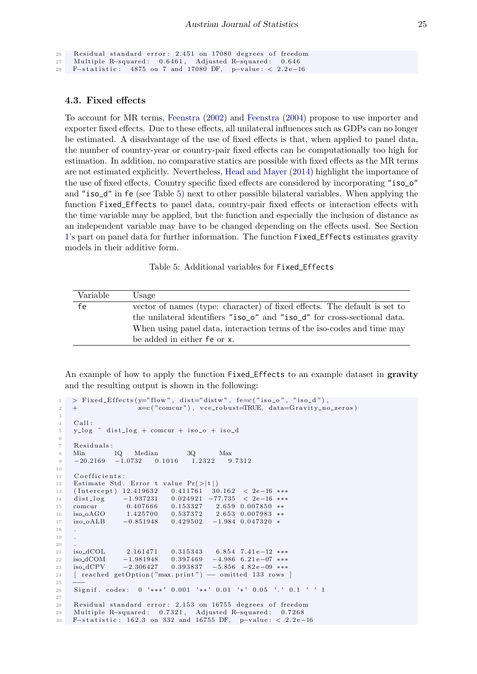```
26 Residual standard error: 2.451 on 17080 degrees of freedom
27 Multiple R-squared: 0.6461, Adjusted R-squared: 0.646
28 F−statistic: 4875 on 7 and 17080 DF, p-value: < 2.2e-16
```
### <span id="page-9-0"></span>4.3. Fixed effects

To account for MR terms, [Feenstra](#page-21-11) [\(2002\)](#page-21-11) and [Feenstra](#page-21-12) [\(2004\)](#page-21-12) propose to use importer and exporter fixed effects. Due to these effects, all unilateral influences such as GDPs can no longer be estimated. A disadvantage of the use of fixed effects is that, when applied to panel data, the number of country-year or country-pair fixed effects can be computationally too high for estimation. In addition, no comparative statics are possible with fixed effects as the MR terms are not estimated explicitly. Nevertheless, [Head and Mayer](#page-21-2) [\(2014\)](#page-21-2) highlight the importance of the use of fixed effects. Country specific fixed effects are considered by incorporating "iso\_o" and "iso\_d" in fe (see Table [5\)](#page-9-1) next to other possible bilateral variables. When applying the function Fixed\_Effects to panel data, country-pair fixed effects or interaction effects with the time variable may be applied, but the function and especially the inclusion of distance as an independent variable may have to be changed depending on the effects used. See Section [1'](#page-0-0)s part on panel data for further information. The function Fixed\_Effects estimates gravity models in their additive form.

Table 5: Additional variables for Fixed\_Effects

<span id="page-9-1"></span>

| Variable | Usage                                                                                             |
|----------|---------------------------------------------------------------------------------------------------|
| fe       | vector of names (type: character) of fixed effects. The default is set to                         |
|          | the unilateral identifiers "iso <sub>o</sub> " and "iso <sub>o</sub> d" for cross-sectional data. |
|          | When using panel data, interaction terms of the iso-codes and time may                            |
|          | be added in either fe or x.                                                                       |

An example of how to apply the function Fixed\_Effects to an example dataset in gravity and the resulting output is shown in the following:

```
1 > Fixed_Effects (v ="flow", dist="distw", fe=c ("iso_o", "isod"),
\bar{x} + \bar{x} \bar{x} \bar{y} \bar{z} \bar{z} \bar{y} \bar{z} \bar{z} \bar{z} \bar{z} \bar{z} \bar{z} \bar{z} \bar{z} \bar{z} \bar{z} \bar{z} \bar{z} \bar{z} \bar{z} \bar{z} \bar{z} \bar{z} \bar{z} \bar{z} \bar{z} \bar{z}3
4 Call:
5 y log \sim dist log + comcur + iso-o + iso-d
6
7 Residuals:
8 Min 1Q Median 3Q Max<br>9 -20.2169 -1.0732 0.1016 1.2322 9.7312
9 -20.2169 -1.0732 0.1016 1.232210
11 Coefficients:
12 Estimate Std. Error t value Pr(>\vert t \vert)13 ( Intercept) 12.419632 0.411761 30.162 < 2e-16 ***
14 dist_log -1.937231 0.024921 -77.735 < 2e-16 ***
15 comcur 0. 40 7666 0. 153327 2.659 0.007850 ∗∗
16 iso oAGO 1. 4 2 5 7 0 0 0. 5 3 7 3 7 2 2. 6 5 3 0. 0 0 7 9 8 3 ∗∗
17 iso_oALB −0.851948 0.429502 −1.984 0.047320 *
18 .
19 .
20 - 2021 iso_dCOL 2.161471 0.315343 6.854 7.41e-12 ***
22 iso_dCOM −1.981948 0.397469 −4.986 6.21e−07 ***<br>23 iso_dCPV −2.306427 0.393837 −5.856 4.82e−09 ***
23 iso dCPV -2.306427 0.393837 -5.856 4.82e-09 ***
24 [ reached getOption ("max. print") - omitted 133 rows ]
25 −−−
26 Signif . codes: 0 '***' 0.001 '**' 0.01 '*' 0.05 '.' 0.1 ' ' 1
27
28 Residual standard error: 2.153 on 16755 degrees of freedom
29 Multiple R-squared: 0.7321, Adjusted R-squared: 0.7268
30 F-statistic: 162.3 on 332 and 16755 DF, p-value: < 2.2e-16
```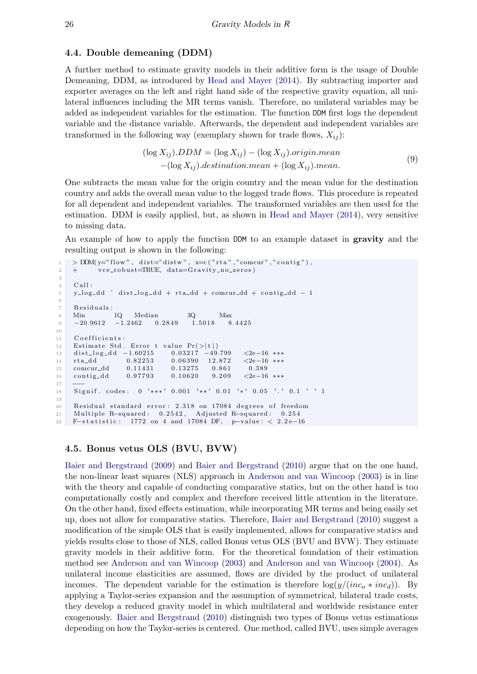#### <span id="page-10-0"></span>4.4. Double demeaning (DDM)

A further method to estimate gravity models in their additive form is the usage of Double Demeaning, DDM, as introduced by [Head and Mayer](#page-21-2) [\(2014\)](#page-21-2). By subtracting importer and exporter averages on the left and right hand side of the respective gravity equation, all unilateral influences including the MR terms vanish. Therefore, no unilateral variables may be added as independent variables for the estimation. The function DDM first logs the dependent variable and the distance variable. Afterwards, the dependent and independent variables are transformed in the following way (exemplary shown for trade flows,  $X_{ij}$ ):

$$
(\log X_{ij}).DDM = (\log X_{ij}) - (\log X_{ij}).origin.mean
$$
  
-(log X<sub>ij</sub>).*destination.mean* + (log X<sub>ij</sub>).mean. (9)

One subtracts the mean value for the origin country and the mean value for the destination country and adds the overall mean value to the logged trade flows. This procedure is repeated for all dependent and independent variables. The transformed variables are then used for the estimation. DDM is easily applied, but, as shown in [Head and Mayer](#page-21-2) [\(2014\)](#page-21-2), very sensitive to missing data.

An example of how to apply the function DDM to an example dataset in **gravity** and the resulting output is shown in the following:

```
1 > DDM(y="flow", dist="distw", x=c("rta","comcur","contig"),
\gamma + vce_robust=TRUE, data=Gravity_no_zeros)
3
4 Call:
5 y l og dd ~ d ist l og dd + r t a dd + comcur dd + c on tig dd - 1
6
7 Residuals:
8 Min 1Q Median 3Q Max
9 −20.9612 −1.2462 0.2849 1.5018 8.4425
10
11 Coefficients:
12 Estimate Std. Error t value Pr(>|t|)13 dist_log_dd -1.60215 0.03217 -49.799 <2e−16 ***
14 rta_dd 0.82253 0.06390 12.872 <2e-16 ***
15 comcur dd 0.11431 0.13275 0.861 0.389
16 contig_dd 0.97793 0.10620 9.209 <2e−16 ***
17 −−−
18 Signif, codes: 0 '***' 0.001 '**' 0.01 '*' 0.05 '.' 0.1 ' ' 1
19
20 Residual standard error: 2.318 on 17084 degrees of freedom
21 Multiple R-squared: 0.2542, Adjusted R-squared: 0.254
22 F−statistic: 1772 on 4 and 17084 DF, p-value: < 2.2e-16
```
#### <span id="page-10-1"></span>4.5. Bonus vetus OLS (BVU, BVW)

[Baier and Bergstrand](#page-20-9) [\(2009\)](#page-20-9) and [Baier and Bergstrand](#page-20-1) [\(2010\)](#page-20-1) argue that on the one hand, the non-linear least squares (NLS) approach in [Anderson and van Wincoop](#page-20-2) [\(2003\)](#page-20-2) is in line with the theory and capable of conducting comparative statics, but on the other hand is too computationally costly and complex and therefore received little attention in the literature. On the other hand, fixed effects estimation, while incorporating MR terms and being easily set up, does not allow for comparative statics. Therefore, [Baier and Bergstrand](#page-20-1) [\(2010\)](#page-20-1) suggest a modification of the simple OLS that is easily implemented, allows for comparative statics and yields results close to those of NLS, called Bonus vetus OLS (BVU and BVW). They estimate gravity models in their additive form. For the theoretical foundation of their estimation method see [Anderson and van Wincoop](#page-20-2) [\(2003\)](#page-20-2) and [Anderson and van Wincoop](#page-20-10) [\(2004\)](#page-20-10). As unilateral income elasticities are assumed, flows are divided by the product of unilateral incomes. The dependent variable for the estimation is therefore  $log(y/(inc_0 * inc_d))$ . By applying a Taylor-series expansion and the assumption of symmetrical, bilateral trade costs, they develop a reduced gravity model in which multilateral and worldwide resistance enter exogenously. [Baier and Bergstrand](#page-20-1) [\(2010\)](#page-20-1) distinguish two types of Bonus vetus estimations depending on how the Taylor-series is centered. One method, called BVU, uses simple averages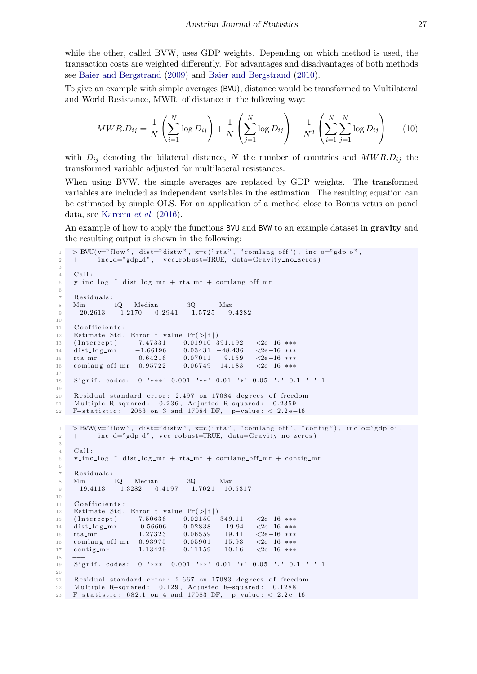while the other, called BVW, uses GDP weights. Depending on which method is used, the transaction costs are weighted differently. For advantages and disadvantages of both methods see [Baier and Bergstrand](#page-20-9) [\(2009\)](#page-20-9) and [Baier and Bergstrand](#page-20-1) [\(2010\)](#page-20-1).

To give an example with simple averages (BVU), distance would be transformed to Multilateral and World Resistance, MWR, of distance in the following way:

$$
MWR.D_{ij} = \frac{1}{N} \left( \sum_{i=1}^{N} \log D_{ij} \right) + \frac{1}{N} \left( \sum_{j=1}^{N} \log D_{ij} \right) - \frac{1}{N^2} \left( \sum_{i=1}^{N} \sum_{j=1}^{N} \log D_{ij} \right) \tag{10}
$$

with  $D_{ij}$  denoting the bilateral distance, N the number of countries and  $MWR.D_{ij}$  the transformed variable adjusted for multilateral resistances.

When using BVW, the simple averages are replaced by GDP weights. The transformed variables are included as independent variables in the estimation. The resulting equation can be estimated by simple OLS. For an application of a method close to Bonus vetus on panel data, see [Kareem](#page-21-7) et al. [\(2016\)](#page-21-7).

An example of how to apply the functions BVU and BVW to an example dataset in **gravity** and the resulting output is shown in the following:

```
1 > BVU(y="flow", dist='distw", x=c("rta", "comlang-off"), inc.o='gdp.o",\frac{1}{2} + inc_d="gdp_d", vce_robust=TRUE, data=Gravity_no_zeros)
3
4 Call:
5 y_inc_log \tilde{ } dist_log_mr + rta_mr + comlang_off_mr
6
7 Residuals:
8 Min 1Q Median 3Q Max
9 -20.2613 -1.2170 0.2941 1.5725 9.428210
11 Coefficients:
12 Estimate Std. Error t value Pr(>|t|)13 (Intercept) 7.47331 0.01910 391.192 <2e−16 ***
14 dist_log_mr −1.66196 0.03431 −48.436 <2e−16 ***<br>15 rta mr 0.64216 0.07011 9.159 <2e−16 ***
15 rta m r 0.64216 0.07011 9.159 <2e−16 ***
16 comlang_off_mr 0.95722 0.06749 14.183 <2e-16 ***
17 −−−
18 Signif . codes: 0 '***' 0.001 '**' 0.01 '*' 0.05 '.' 0.1 ' ' 1
19
20 Residual standard error: 2.497 on 17084 degrees of freedom
21 Multiple R-squared: 0.236, Adjusted R-squared: 0.2359
22 F−statistic: 2053 on 3 and 17084 DF, p-value: < 2.2e-16
1 > BWW(y="flow", dist="dist", x=c("rta", "comlang-off", "contig"), inc.o="gdp.o",\frac{1}{2} + \int inc_d="gdp_d", vce_robust=TRUE, data=Gravity_no_zeros)
3
4 Call:<br>5 y_inc
    y\_inc\_log \tilde{ } distlog\_mr + rta\_mr + comlang\_off\_mr + contig\_mr6
7 Residuals:
 8 Min 1Q Median 3Q Max
 9 −19.4113 −1.3282 0.4197 1.7021 10.5317
10
11 Coefficients:
12 Estimate Std. Error t value Pr(>|t|)<br>
13 (Intercept) 7.50636 0.02150 349.11
13 (Intercept) 7.50636 0.02150 349.11 <2e−16 ∗∗∗<br>
14 dist_log_mr -0.56606 0.02838 -19.94 <2e−16 ***
14 dist_log_mr -0.56606 0.02838 -19.94 <2e-16 ***
15 rta_mr 1.27323 0.06559 19.41 <2e−16 ∗∗∗<br>16 comlang_off_mr 0.93975 0.05901 15.93 <2e−16 ∗∗∗
16 comlang_off_mr 0.93975
17 contig_mr 1.13429 0.11159 10.16 <2e−16 ***
18 −−−
19 Signif. codes: 0 '***' 0.001 '**' 0.01 '*' 0.05 '.' 0.1 ' ' 1
20
21 Residual standard error: 2.667 on 17083 degrees of freedom
22 Multiple R-squared: 0.129, Adjusted R-squared: 0.1288
23 F-statistic: 682.1 on 4 and 17083 DF, p-value: < 2.2e-16
```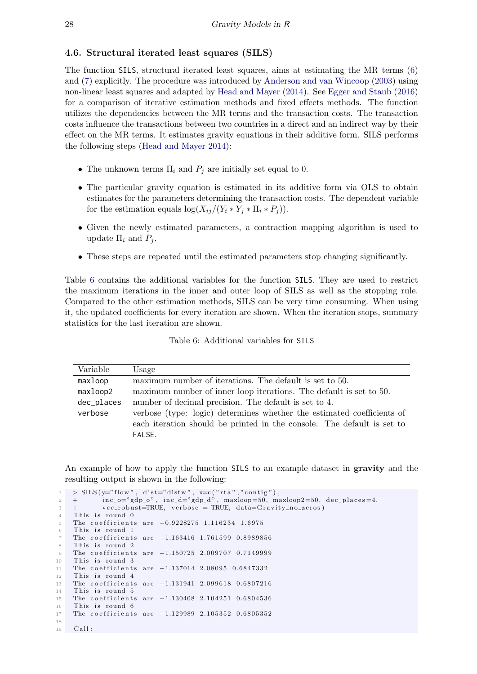### <span id="page-12-0"></span>4.6. Structural iterated least squares (SILS)

The function SILS, structural iterated least squares, aims at estimating the MR terms [\(6\)](#page-3-1) and [\(7\)](#page-3-2) explicitly. The procedure was introduced by [Anderson and van Wincoop](#page-20-2) [\(2003\)](#page-20-2) using non-linear least squares and adapted by [Head and Mayer](#page-21-2) [\(2014\)](#page-21-2). See [Egger and Staub](#page-21-13) [\(2016\)](#page-21-13) for a comparison of iterative estimation methods and fixed effects methods. The function utilizes the dependencies between the MR terms and the transaction costs. The transaction costs influence the transactions between two countries in a direct and an indirect way by their effect on the MR terms. It estimates gravity equations in their additive form. SILS performs the following steps [\(Head and Mayer](#page-21-2) [2014\)](#page-21-2):

- The unknown terms  $\Pi_i$  and  $P_j$  are initially set equal to 0.
- The particular gravity equation is estimated in its additive form via OLS to obtain estimates for the parameters determining the transaction costs. The dependent variable for the estimation equals  $\log(X_{ij}/(Y_i * Y_j * \Pi_i * P_j)).$
- Given the newly estimated parameters, a contraction mapping algorithm is used to update  $\Pi_i$  and  $P_j$ .
- These steps are repeated until the estimated parameters stop changing significantly.

Table [6](#page-12-1) contains the additional variables for the function SILS. They are used to restrict the maximum iterations in the inner and outer loop of SILS as well as the stopping rule. Compared to the other estimation methods, SILS can be very time consuming. When using it, the updated coefficients for every iteration are shown. When the iteration stops, summary statistics for the last iteration are shown.

<span id="page-12-1"></span>

| Variable   | Usage                                                                  |
|------------|------------------------------------------------------------------------|
| maxloop    | maximum number of iterations. The default is set to 50.                |
| maxloop2   | maximum number of inner loop iterations. The default is set to 50.     |
| dec_places | number of decimal precision. The default is set to 4.                  |
| verbose    | verbose (type: logic) determines whether the estimated coefficients of |
|            | each iteration should be printed in the console. The default is set to |
|            | FALSE.                                                                 |

Table 6: Additional variables for SILS

An example of how to apply the function SILS to an example dataset in **gravity** and the resulting output is shown in the following:

```
1 > SILS (y="flow", dist="distw", x=c ("rta","contig"),
2 + \text{inc}_o = "gdp_o", \text{inc}_d = "gdp_d", \text{maxloop}=50, \text{maxloop}=50, \text{dec}_p \text{laces}=4,\overline{3} + vce_robust=TRUE, verbose = TRUE, data=Gravity_no_zeros)
4 This is round 0
    The coefficients are -0.9228275 1.116234 1.6975
6 This is round 1
    The coefficients are -1.163416 1.761599 0.8989856
    This is round 2
9 The coefficients are -1.150725 2.009707 0.7149999
10 This is round 3
11 The coefficients are -1.137014 2.08095 0.6847332
12 This is round 4
13 The coefficients are -1.131941 2.099618 0.6807216
14 This is round 5
15 The coefficients are -1.130408 2.104251 0.6804536
16 This is round 6
17 The coefficients are -1.129989 2.105352 0.6805352
18
19 Call:
```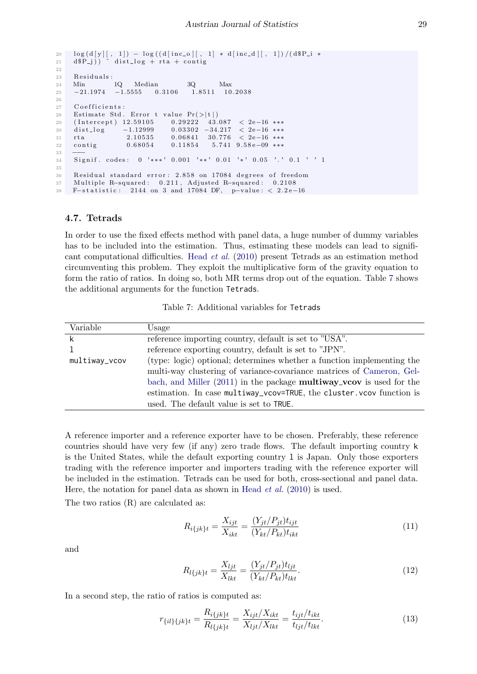```
20 \log (d[y][, 1]) - log((d[inc_0][, 1] * d[inc_d][, 1])/(d$P_i*21 d$P_j)) \tilde{ } dist_log + rta + contig
22
23 Residuals:
24 Min 1Q Median 3Q Max
25 −21.1974 −1.5555 0.3106 1.8511 10.2038
26
27 Coefficients:
28 Estimate Std. Error t value Pr(>|t|)29 (Intercept) 12.59105 0.29222 43.087 < 2e-16 ***
30 (Intercept) 12.59105 0.29222 43.087 < 2e−16 ***<br>30 dist_log -1.12999 0.03302 -34.217 < 2e−16 ***<br>31 rta 2.10535 0.06841 30.776 < 2e−16 ***
\begin{array}{ccccccc} 31 & \text{rta} & & 2.10535 & 0.06841 & 30.776 & < 2e-16 & ** & \text{const} & & \text{const} & 0.68054 & 0.11854 & 5.741 & 9.58e-09 & ** & \end{array}32 contig 0.68054 0.11854 5.741 9.58e-09 ***
33 −−−
34 Signif. codes: 0 '***' 0.001 '**' 0.01 '*' 0.05 '.' 0.1 ' ' 1
35
36 Residual standard error: 2.858 on 17084 degrees of freedom
37 Multiple R-squared: 0.211, Adjusted R-squared: 0.2108
38 F−statistic: 2144 on 3 and 17084 DF, p-value: < 2.2e-16
```
#### <span id="page-13-0"></span>4.7. Tetrads

In order to use the fixed effects method with panel data, a huge number of dummy variables has to be included into the estimation. Thus, estimating these models can lead to significant computational difficulties. [Head](#page-21-10) et al. [\(2010\)](#page-21-10) present Tetrads as an estimation method circumventing this problem. They exploit the multiplicative form of the gravity equation to form the ratio of ratios. In doing so, both MR terms drop out of the equation. Table [7](#page-13-1) shows the additional arguments for the function Tetrads.

Table 7: Additional variables for Tetrads

<span id="page-13-1"></span>

| Variable      | Usage                                                                         |
|---------------|-------------------------------------------------------------------------------|
|               | reference importing country, default is set to "USA".                         |
|               | reference exporting country, default is set to "JPN".                         |
| multiway_vcov | (type: logic) optional; determines whether a function implementing the        |
|               | multi-way clustering of variance-covariance matrices of Cameron, Gel-         |
|               | bach, and Miller $(2011)$ in the package <b>multiway_vcov</b> is used for the |
|               | estimation. In case multiway_vcov=TRUE, the cluster. vcov function is         |
|               | used. The default value is set to TRUE.                                       |

A reference importer and a reference exporter have to be chosen. Preferably, these reference countries should have very few (if any) zero trade flows. The default importing country k is the United States, while the default exporting country l is Japan. Only those exporters trading with the reference importer and importers trading with the reference exporter will be included in the estimation. Tetrads can be used for both, cross-sectional and panel data. Here, the notation for panel data as shown in [Head](#page-21-10) *et al.* [\(2010\)](#page-21-10) is used.

The two ratios (R) are calculated as:

$$
R_{i\{jk\}t} = \frac{X_{ijt}}{X_{ikt}} = \frac{(Y_{jt}/P_{jt})t_{ijt}}{(Y_{kt}/P_{kt})t_{ikt}}
$$
(11)

and

$$
R_{l\{jk\}t} = \frac{X_{ljt}}{X_{lkt}} = \frac{(Y_{jt}/P_{jt})t_{ljt}}{(Y_{kt}/P_{kt})t_{lkt}}.
$$
\n(12)

In a second step, the ratio of ratios is computed as:

$$
r_{\{il\}\{jk\}t} = \frac{R_{i\{jk\}t}}{R_{l\{jk\}t}} = \frac{X_{ijt}/X_{ikt}}{X_{ljt}/X_{ikt}} = \frac{t_{ijt}/t_{ikt}}{t_{ljt}/t_{ikt}}.
$$
\n(13)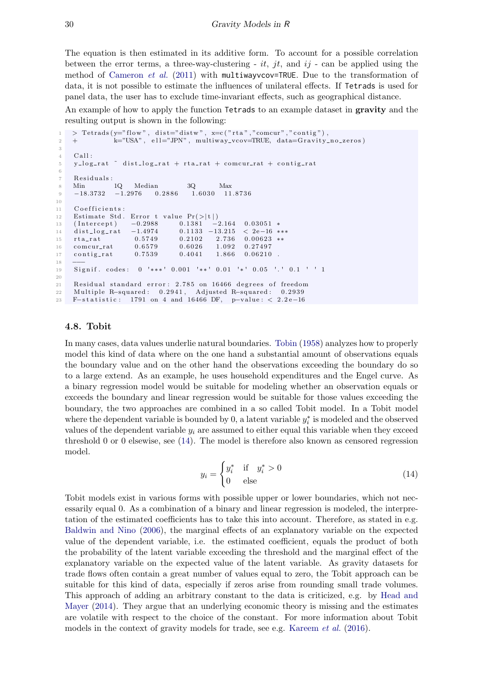The equation is then estimated in its additive form. To account for a possible correlation between the error terms, a three-way-clustering - it, jt, and  $ij$  - can be applied using the method of [Cameron](#page-20-11) et al.  $(2011)$  with multiwayvcov=TRUE. Due to the transformation of data, it is not possible to estimate the influences of unilateral effects. If Tetrads is used for panel data, the user has to exclude time-invariant effects, such as geographical distance.

An example of how to apply the function Tetrads to an example dataset in **gravity** and the resulting output is shown in the following:

```
1 > Tetrads (y = "flow", dist = "distw", x = c("rta", "comcur", "contig"),2 + k="USA", ell="JPN", multiway_vcov=TRUE, data=Gravity_no_zeros)
3
4 Call :
5 \quad y \,log_rat ~ dist_log_rat + rta_rat + comcur_rat + contig_rat
6
7 Residuals:
8 Min 1Q Median 3Q Max
9 −18.3732 −1.2976 0.2886 1.6030 11.8736
10
11 Coefficients:
12 Estimate Std. Error t value Pr(>|t|)13 (Intercept) −0.2988 0.1381 −2.164 0.03051 *<br>14 dist_log_rat -1.4974 0.1133 -13.215 < 2e-16 ***
14 dist_log_rat
15 rta_rat 0.5749 0.2102 2.736 0.00623 **
16 comcur_rat 0.6579 0.6026 1.092 0.27497
17 contig_rat 0.7539 0.4041 1.866 0.06210.
18 −−−
19 Signif, codes: 0 '***' 0.001 '**' 0.01 '*' 0.05 '.' 0.1 ' ' 1
20
21 Residual standard error: 2.785 on 16466 degrees of freedom
22 Multiple R-squared: 0.2941, Adjusted R-squared: 0.2939
23 F-statistic: 1791 on 4 and 16466 DF, p-value: < 2.2e-16
```
#### <span id="page-14-0"></span>4.8. Tobit

In many cases, data values underlie natural boundaries. [Tobin](#page-22-9) [\(1958\)](#page-22-9) analyzes how to properly model this kind of data where on the one hand a substantial amount of observations equals the boundary value and on the other hand the observations exceeding the boundary do so to a large extend. As an example, he uses household expenditures and the Engel curve. As a binary regression model would be suitable for modeling whether an observation equals or exceeds the boundary and linear regression would be suitable for those values exceeding the boundary, the two approaches are combined in a so called Tobit model. In a Tobit model where the dependent variable is bounded by 0, a latent variable  $y_i^*$  is modeled and the observed values of the dependent variable  $y_i$  are assumed to either equal this variable when they exceed threshold 0 or 0 elsewise, see [\(14\)](#page-14-1). The model is therefore also known as censored regression model.

<span id="page-14-1"></span>
$$
y_i = \begin{cases} y_i^* & \text{if } y_i^* > 0 \\ 0 & \text{else} \end{cases} \tag{14}
$$

Tobit models exist in various forms with possible upper or lower boundaries, which not necessarily equal 0. As a combination of a binary and linear regression is modeled, the interpretation of the estimated coefficients has to take this into account. Therefore, as stated in e.g. [Baldwin and Nino](#page-20-12) [\(2006\)](#page-20-12), the marginal effects of an explanatory variable on the expected value of the dependent variable, i.e. the estimated coefficient, equals the product of both the probability of the latent variable exceeding the threshold and the marginal effect of the explanatory variable on the expected value of the latent variable. As gravity datasets for trade flows often contain a great number of values equal to zero, the Tobit approach can be suitable for this kind of data, especially if zeros arise from rounding small trade volumes. This approach of adding an arbitrary constant to the data is criticized, e.g. by [Head and](#page-21-2) [Mayer](#page-21-2) [\(2014\)](#page-21-2). They argue that an underlying economic theory is missing and the estimates are volatile with respect to the choice of the constant. For more information about Tobit models in the context of gravity models for trade, see e.g. [Kareem](#page-21-7) *et al.* [\(2016\)](#page-21-7).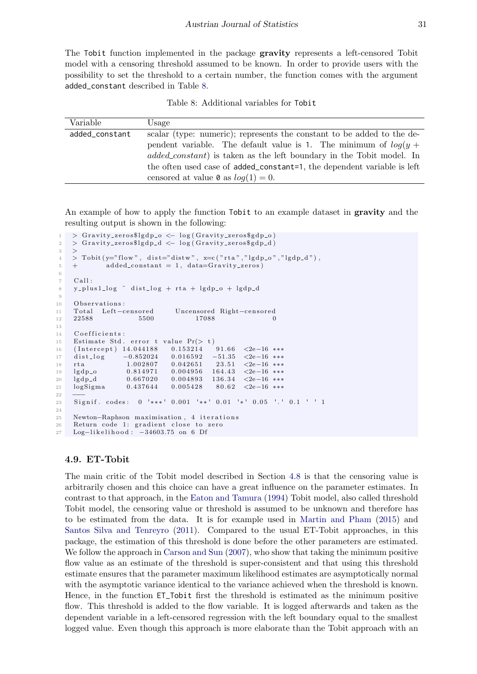The Tobit function implemented in the package gravity represents a left-censored Tobit model with a censoring threshold assumed to be known. In order to provide users with the possibility to set the threshold to a certain number, the function comes with the argument added\_constant described in Table [8.](#page-15-1)

Table 8: Additional variables for Tobit

<span id="page-15-1"></span>

| Variable       | Usage                                                                        |
|----------------|------------------------------------------------------------------------------|
| added_constant | scalar (type: numeric); represents the constant to be added to the de-       |
|                | pendent variable. The default value is 1. The minimum of $log(y +$           |
|                | <i>added_constant</i> ) is taken as the left boundary in the Tobit model. In |
|                | the often used case of added_constant=1, the dependent variable is left      |
|                | censored at value $\mathfrak{d}$ as $log(1) = 0$ .                           |

An example of how to apply the function Tobit to an example dataset in **gravity** and the resulting output is shown in the following:

```
> Gravity_zeros$lgdp_o \leftarrow log(Gravity_zeros$gdp_o)
2 > Gravity_zeros$lgdp_d \leftarrow log(Gravity_zeros$gdp_d)
3 >
 \frac{4}{4} > Tobit (y="flow", dist="distw", x=c ("rta","lgdp_o","lgdp_d"),
5 + \tadded_{constant} = 1, data = Gravity_{zeros})6
7 Call :
8 y_plus1_log \tilde{ } dist_log + rta + lgdp_o + lgdp_d
9
10 Observations:<br>11 Total Left-censored
11 Total Left−censored Uncensored Right−censored<br>12 22588 5500 17088 0
12 22588 5500 17088 0
13
14 Coefficients:
15 Estimate Std. error t value Pr(> t)16 (Intercept) 14.044188 0.153214 91.66 <2e−16 ***
\begin{array}{ccccccccc} 17 & & \text{dist\_log} & & -0.852024 & & 0.016592 & & -51.35 & <2\text{e}-16 & ***\\ 18 & & & 1.002807 & & 0.042651 & & 23.51 & <2\text{e}-16 & *** \end{array}18 rta 1.002807 0.042651 23.51 <2e−16 ***
19 lgdp_o 0.814971 0.004956 164.43 <2e−16 ***
20 lgdp_d 0.667020 0.004893 136.34 <2e−16 ∗∗∗<br>21 logSigma 0.437644 0.005428 80.62 <2e−16 ∗∗∗
21 logSigma 0.437644 0.005428 80.62 <2e−16 ***
22 −−−
23 Signif .codes: 0 '***' 0.001 '**' 0.01 '*' 0.05 '.' 0.1 ' '1
2425 Newton–Raphson maximisation, 4 iterations
26 Return code 1: gradient close to zero
27 Log-likelihood: -34603.75 on 6 Df
```
#### <span id="page-15-0"></span>4.9. ET-Tobit

The main critic of the Tobit model described in Section [4.8](#page-14-0) is that the censoring value is arbitrarily chosen and this choice can have a great influence on the parameter estimates. In contrast to that approach, in the [Eaton and Tamura](#page-21-0) [\(1994\)](#page-21-0) Tobit model, also called threshold Tobit model, the censoring value or threshold is assumed to be unknown and therefore has to be estimated from the data. It is for example used in [Martin and Pham](#page-21-6) [\(2015\)](#page-21-6) and [Santos Silva and Tenreyro](#page-22-10) [\(2011\)](#page-22-10). Compared to the usual ET-Tobit approaches, in this package, the estimation of this threshold is done before the other parameters are estimated. We follow the approach in [Carson and Sun](#page-20-7) [\(2007\)](#page-20-7), who show that taking the minimum positive flow value as an estimate of the threshold is super-consistent and that using this threshold estimate ensures that the parameter maximum likelihood estimates are asymptotically normal with the asymptotic variance identical to the variance achieved when the threshold is known. Hence, in the function ET\_Tobit first the threshold is estimated as the minimum positive flow. This threshold is added to the flow variable. It is logged afterwards and taken as the dependent variable in a left-censored regression with the left boundary equal to the smallest logged value. Even though this approach is more elaborate than the Tobit approach with an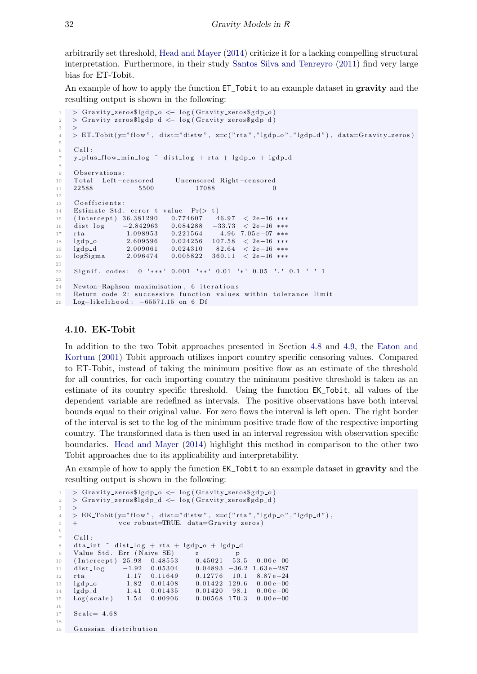arbitrarily set threshold, [Head and Mayer](#page-21-2) [\(2014\)](#page-21-2) criticize it for a lacking compelling structural interpretation. Furthermore, in their study [Santos Silva and Tenreyro](#page-22-10) [\(2011\)](#page-22-10) find very large bias for ET-Tobit.

An example of how to apply the function  $ET\_T$ obit to an example dataset in gravity and the resulting output is shown in the following:

```
1 > Gravity_zeros$lgdp_o \leftarrow log(Gravity_zeros$gdp_o)
2 > Gravity_zeros$lgdp_d <- log(Gravity\_zerosgdp_d)3 >
4 > ET\_Tobit(y="flow", dist="diskw", x=c("rta", "lgdp_0", "lgdp_d"), data=Gravity_0;5
6 Call:
7 y_plus_flow_min_log \tilde{ } dist_log + rta + lgdp_o + lgdp_d
8
9 Observations:
10 Total Left-censored Uncensored Right-censored
11 22588 5500 17088 0
12
13 Coefficients:
14 Estimate Std. error t value Pr(> t)<br>15 (Intercept) 36.381290 0.774607 46.97 < 2e-16 ***
15 ( Intercept ) 36.381290
16 dist_log −2.842963 0.084288 −33.73 < 2e−16 ***
17 rta 1.098953 0.221564 4.96 7.05 e−07 ***
18 lgdp_o 2.609596 0.024256 107.58 < 2e-16 ***
19 lgdp_d 2.009061 0.024310 82.64 < 2e−16 ***
20 logSigma 2.096474 0.005822 360.11 < 2e−16 ***
21 −−−
22 Signif. codes: 0 '***' 0.001 '**' 0.01 '*' 0.05 '.' 0.1 ' ' 1
2<sub>2</sub>24 Newton-Raphson maximisation, 6 iterations
25 Return code 2: successive function values within tolerance limit
26 Log-likelihood: -65571.15 on 6 Df
```
### <span id="page-16-0"></span>4.10. EK-Tobit

In addition to the two Tobit approaches presented in Section [4.8](#page-14-0) and [4.9,](#page-15-0) the [Eaton and](#page-21-1) [Kortum](#page-21-1) [\(2001\)](#page-21-1) Tobit approach utilizes import country specific censoring values. Compared to ET-Tobit, instead of taking the minimum positive flow as an estimate of the threshold for all countries, for each importing country the minimum positive threshold is taken as an estimate of its country specific threshold. Using the function EK\_Tobit, all values of the dependent variable are redefined as intervals. The positive observations have both interval bounds equal to their original value. For zero flows the interval is left open. The right border of the interval is set to the log of the minimum positive trade flow of the respective importing country. The transformed data is then used in an interval regression with observation specific boundaries. [Head and Mayer](#page-21-2) [\(2014\)](#page-21-2) highlight this method in comparison to the other two Tobit approaches due to its applicability and interpretability.

An example of how to apply the function EK\_Tobit to an example dataset in gravity and the resulting output is shown in the following:

```
1 > Gravity_zeros$lgdp_o \leftarrow log(Gravity_zeros$gdp_o)
2 > Gravity_zeros$lgdp_d <- log(Gravity_zeros$gdp_d)
3 >
4 > E K_{\text{-}} \text{Tobit} (\text{y} = "flow", \text{dist} = "distw", \text{z} = c ("rta", "lgdp_0", "lgdp_d",5 + v ce_robust=TRUE, data=Gravity_zeros)
6
7 Call :
    dt a int \tilde{ } dist_log + rta + lgdp_o + lgdp_d
9 Value Std. Err (Naive SE) z p
10 (Intercept) 25.98 0.48553 0.45021 53.5 0.00e+00
11 dist_log −1.92 0.05304 0.04893 −36.2 1.63e−287
12 rta 1.17 0.11649 0.12776 10.1 8.87e−24
13 lgdp_o 1.82 0.01408 0.01422 129.6 0.00e+00
14 lgdp_d 1.41 0.01435 0.01420 98.1 0.00e+00
15 Log (scale) 1.54 0.00906 0.00568 170.3 0.00e+00
16
17 Scale = 4.68
18
19 Gaussian distribution
```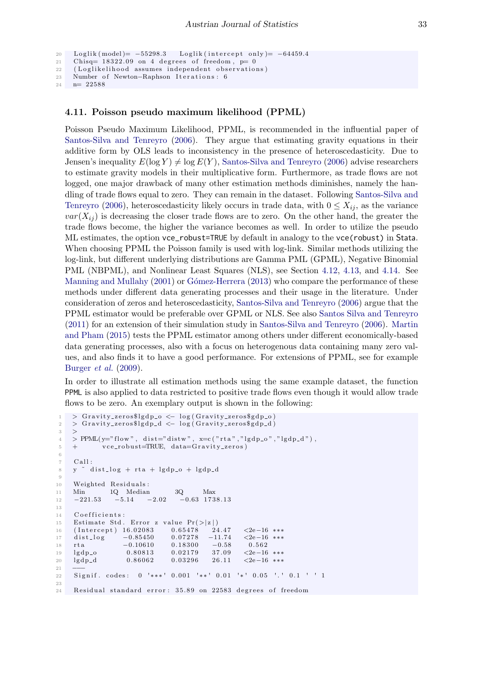```
20 Loglik (model)= -55298.3 Loglik (intercept only)= -64459.4
```

```
21 Chisq= 18322.09 on 4 degrees of freedom, p=0
```

```
22 ( Loglikelihood assumes independent observations)
23 Number of Newton-Raphson Iterations: 6
```

```
24 n= 22588
```
## <span id="page-17-0"></span>4.11. Poisson pseudo maximum likelihood (PPML)

Poisson Pseudo Maximum Likelihood, PPML, is recommended in the influential paper of [Santos-Silva and Tenreyro](#page-22-11) [\(2006\)](#page-22-11). They argue that estimating gravity equations in their additive form by OLS leads to inconsistency in the presence of heteroscedasticity. Due to Jensen's inequality  $E(\log Y) \neq \log E(Y)$ , [Santos-Silva and Tenreyro](#page-22-11) [\(2006\)](#page-22-11) advise researchers to estimate gravity models in their multiplicative form. Furthermore, as trade flows are not logged, one major drawback of many other estimation methods diminishes, namely the handling of trade flows equal to zero. They can remain in the dataset. Following [Santos-Silva and](#page-22-11) [Tenreyro](#page-22-11) [\(2006\)](#page-22-11), heteroscedasticity likely occurs in trade data, with  $0 \leq X_{ij}$ , as the variance  $var(X_{ij})$  is decreasing the closer trade flows are to zero. On the other hand, the greater the trade flows become, the higher the variance becomes as well. In order to utilize the pseudo ML estimates, the option vce\_robust=TRUE by default in analogy to the vce(robust) in Stata. When choosing PPML the Poisson family is used with log-link. Similar methods utilizing the log-link, but different underlying distributions are Gamma PML (GPML), Negative Binomial PML (NBPML), and Nonlinear Least Squares (NLS), see Section [4.12,](#page-18-0) [4.13,](#page-18-1) and [4.14.](#page-19-0) See [Manning and Mullahy](#page-21-14) [\(2001\)](#page-21-14) or Gómez-Herrera [\(2013\)](#page-21-4) who compare the performance of these methods under different data generating processes and their usage in the literature. Under consideration of zeros and heteroscedasticity, [Santos-Silva and Tenreyro](#page-22-11) [\(2006\)](#page-22-11) argue that the PPML estimator would be preferable over GPML or NLS. See also [Santos Silva and Tenreyro](#page-22-10) [\(2011\)](#page-22-10) for an extension of their simulation study in [Santos-Silva and Tenreyro](#page-22-11) [\(2006\)](#page-22-11). [Martin](#page-21-6) [and Pham](#page-21-6) [\(2015\)](#page-21-6) tests the PPML estimator among others under different economically-based data generating processes, also with a focus on heterogenous data containing many zero values, and also finds it to have a good performance. For extensions of PPML, see for example [Burger](#page-20-8) et al. [\(2009\)](#page-20-8).

In order to illustrate all estimation methods using the same example dataset, the function PPML is also applied to data restricted to positive trade flows even though it would allow trade flows to be zero. An exemplary output is shown in the following:

```
1 > Gravity_zeros$lgdp_o \leftarrow log(Gravity_zeros$gdp_o)
2 > Gravity_zeros$lgdp_d <- log(Gravity_zeros$gdp_d)
3 >
4 > PPML(y="flow", dist="distw", x=c("rta","lgdp_o","lgdp_d"),
5 + v ce_robust=TRUE, data=Gravity_zeros)
6
7 Call:
8 \times y dist_log + rta + lgdp_o + lgdp_d
9
10 Weighted Residuals:
11 Min 1Q Median 3Q Max<br>12 -221.53 -5.14 -2.02 -0.63 173
12 \quad -221.53 \quad -5.14 \quad -2.02 \quad -0.63 \quad 1738.1313
14 Coefficients:
15 Estimate Std. Error z value Pr(>|z|)<br>16 (Intercept) 16.02083 0.65478 24.47
16 (Intercept) 16.02083 0.65478 24.47 <2e-16 ***<br>17 dist log -0.85450 0.07278 -11.74 <2e-16 ***
17 dist_log -0.85450 0.07278 -11.74 \leq 2e-16 ***
18 rta −0.10610 0.18300 −0.58 0.562
19 lgdp_o 0.80813 0.02179 37.09 <2e−16 ***
20 lgdp_d 0.86062 0.03296 26.11 <2e−16 ***
21 −−−
22 Signif. codes: 0 '***' 0.001 '**' 0.01 '*' 0.05 '.' 0.1 ' ' 1
23
24 Residual standard error: 35.89 on 22583 degrees of freedom
```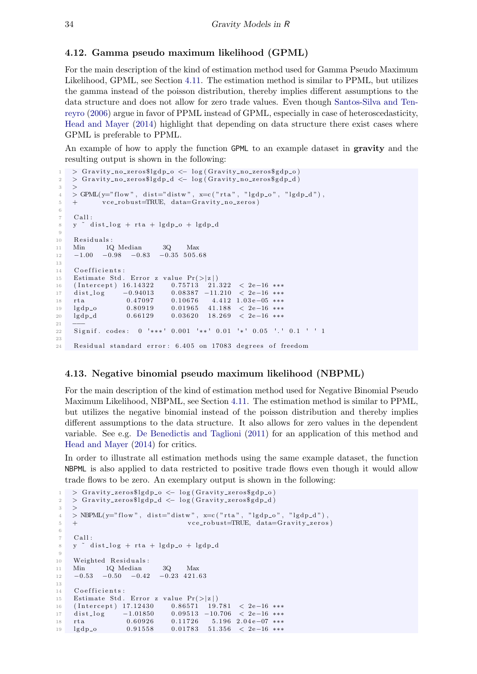### <span id="page-18-0"></span>4.12. Gamma pseudo maximum likelihood (GPML)

For the main description of the kind of estimation method used for Gamma Pseudo Maximum Likelihood, GPML, see Section [4.11.](#page-17-0) The estimation method is similar to PPML, but utilizes the gamma instead of the poisson distribution, thereby implies different assumptions to the data structure and does not allow for zero trade values. Even though [Santos-Silva and Ten](#page-22-11)[reyro](#page-22-11) [\(2006\)](#page-22-11) argue in favor of PPML instead of GPML, especially in case of heteroscedasticity, [Head and Mayer](#page-21-2) [\(2014\)](#page-21-2) highlight that depending on data structure there exist cases where GPML is preferable to PPML.

An example of how to apply the function GPML to an example dataset in **gravity** and the resulting output is shown in the following:

```
1 > Gravity_no_zeros$lgdp_o \leftarrow log(Gravity_no_zeros$gdp_o)
2 > Gravity_no_zeros$lgdp_d < log(Gravity_no_zeros$gdp_d)
3 >
4 > GPML(y = "flow", dist = "distw", x = c ("rta", "lgdp_o", "lgdp_d",5 + v ce_robust=TRUE, data=Gravity_no_zeros)
6
7 Call:
8 \text{ y} \text{dist-log} + rta + lgdp_o + lgdp_d
9
10 Residuals:
11 Min 1Q Median 3Q Max
12 \quad -1.00 \quad -0.98 \quad -0.83 \quad -0.35 \quad 505.6813
14 Coefficients
15 Estimate Std. Error z value Pr(>|z|)16 (Intercept) 16.14322 0.75713 21.322 < 2e−16 ***
17 dist_log -0.94013 0.08387 -11.210 < 2e-16 ***<br>18 rta 6.47097 0.10676 4.412 1.03e-05 ***
18 rta 0.47097 0.10676 4.412 1.03e-05 ***
19 l g d p o 0. 8 0 9 1 9 0. 0 1 9 6 5 4 1.18 8 \leq 2e-16 ***
20 lgdp_d 0.66129 0.03620 18.269 < 2e−16 ***
21 −−−
22 Signif. codes: 0 '***' 0.001 '**' 0.01 '*' 0.05 '.' 0.1 ' ' 1
23
24 Residual standard error: 6.405 on 17083 degrees of freedom
```
### <span id="page-18-1"></span>4.13. Negative binomial pseudo maximum likelihood (NBPML)

For the main description of the kind of estimation method used for Negative Binomial Pseudo Maximum Likelihood, NBPML, see Section [4.11.](#page-17-0) The estimation method is similar to PPML, but utilizes the negative binomial instead of the poisson distribution and thereby implies different assumptions to the data structure. It also allows for zero values in the dependent variable. See e.g. [De Benedictis and Taglioni](#page-21-15) [\(2011\)](#page-21-15) for an application of this method and [Head and Mayer](#page-21-2) [\(2014\)](#page-21-2) for critics.

In order to illustrate all estimation methods using the same example dataset, the function NBPML is also applied to data restricted to positive trade flows even though it would allow trade flows to be zero. An exemplary output is shown in the following:

```
1 > Gravity_zeros$lgdp_o \leftarrow log(Gravity_zeros$gdp_o)
2 > Gravity_zeros$lgdp_d <- log(Gravity_zeros$gdp_d)
3 >
4 > NBPML(y = "flow", dist = "distw", x = c ("rta", "lgdp_0", "lgdp_d",5 + vce_robust=TRUE, data=Gravity_zeros)
6
7 C all :
8 y \degree dist_log + rta + lgdp_o + lgdp_d
9
10 Weighted Residuals:
11 Min 1Q Median 3Q Max
12 -0.53 -0.50 -0.42 -0.23 421.63
13
14 Coefficients:
15 Estimate Std. Error z value Pr(>|z|)16 (Intercept) 17.12430 0.86571 19.781 < 2e−16 ***<br>17 dist_log -1.01850 0.09513 -10.706 < 2e−16 ***
17 dist_log -1.01850 0.09513 -10.706 < 2e-16 ***
18 rta 0.60926 0.11726 5.196 2.04e-07 ***
19 lgdp_o 0.91558 0.01783 51.356 < 2e-16 ***
```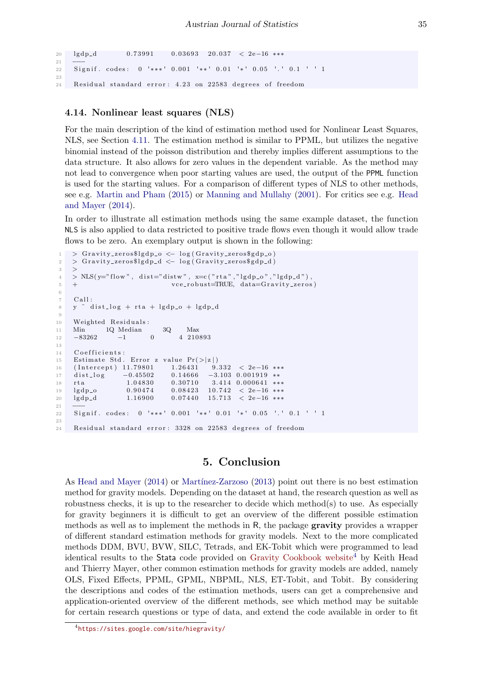```
20 \lg dp_d 0.73991 0.03693 20.037 < 2e−16 ***
2122 Signif. codes: 0 '***' 0.001 '**' 0.01 '*' 0.05 '.' 0.1 ' ' 1
23
24 Residual standard error: 4.23 on 22583 degrees of freedom
```
#### <span id="page-19-0"></span>4.14. Nonlinear least squares (NLS)

For the main description of the kind of estimation method used for Nonlinear Least Squares, NLS, see Section [4.11.](#page-17-0) The estimation method is similar to PPML, but utilizes the negative binomial instead of the poisson distribution and thereby implies different assumptions to the data structure. It also allows for zero values in the dependent variable. As the method may not lead to convergence when poor starting values are used, the output of the PPML function is used for the starting values. For a comparison of different types of NLS to other methods, see e.g. [Martin and Pham](#page-21-6) [\(2015\)](#page-21-6) or [Manning and Mullahy](#page-21-14) [\(2001\)](#page-21-14). For critics see e.g. [Head](#page-21-2) [and Mayer](#page-21-2) [\(2014\)](#page-21-2).

In order to illustrate all estimation methods using the same example dataset, the function NLS is also applied to data restricted to positive trade flows even though it would allow trade flows to be zero. An exemplary output is shown in the following:

```
1 > Gravity_zeros$lgdp_o \leftarrow log(Gravity_zeros$gdp_o)
2 > Gravity_zeros$lgdp_d <- log(Gravity_zeros$gdp_d)
3 >
4 > NLS(y="flow", dist="distw", x=c("rta","lgdp_o","lgdp_d").
5 + v ce_robust=TRUE, data=Gravity_zeros)
6
7 Call:
8 y \degree dist_log + rta + lgdp_o + lgdp_d
9
10 Weighted Residuals:
11 Min 1Q Median 3Q Max -83262 -1 0 4 210
12 −83262 −1 0 4 210893
13
14 Coefficients:
15 Estimate Std. Error z value Pr(\geq |z|)16 (Intercept) 11.79801 1.26431 9.332 < 2e−16 ***
17 dist_log -0.45502 0.14666 -3.103 0.001919 **
18 rta 1.04830 0.30710 3.414 0.000641 ∗∗∗<br>19 lgdp_o 0.90474 0.08423 10.742 < 2e-16 ∗∗∗
19 lgdp_o 0.90474 0.08423 10.742 < 2e−16 ***
20 lgdp_d 1.16900 0.07440 15.713 < 2e−16 ***
21 −−−
22 Signif. codes: 0 '***' 0.001 '**' 0.01 '*' 0.05 '.' 0.1 ' ' 1
23
24 Residual standard error: 3328 on 22583 degrees of freedom
```
## 5. Conclusion

As [Head and Mayer](#page-21-2) [\(2014\)](#page-21-2) or Martínez-Zarzoso [\(2013\)](#page-22-12) point out there is no best estimation method for gravity models. Depending on the dataset at hand, the research question as well as robustness checks, it is up to the researcher to decide which method(s) to use. As especially for gravity beginners it is difficult to get an overview of the different possible estimation methods as well as to implement the methods in R, the package **gravity** provides a wrapper of different standard estimation methods for gravity models. Next to the more complicated methods DDM, BVU, BVW, SILC, Tetrads, and EK-Tobit which were programmed to lead identical results to the Stata code provided on [Gravity Cookbook website](https://sites.google.com/site/hiegravity/)<sup>[4](#page-19-1)</sup> by Keith Head and Thierry Mayer, other common estimation methods for gravity models are added, namely OLS, Fixed Effects, PPML, GPML, NBPML, NLS, ET-Tobit, and Tobit. By considering the descriptions and codes of the estimation methods, users can get a comprehensive and application-oriented overview of the different methods, see which method may be suitable for certain research questions or type of data, and extend the code available in order to fit

<span id="page-19-1"></span><sup>4</sup> <https://sites.google.com/site/hiegravity/>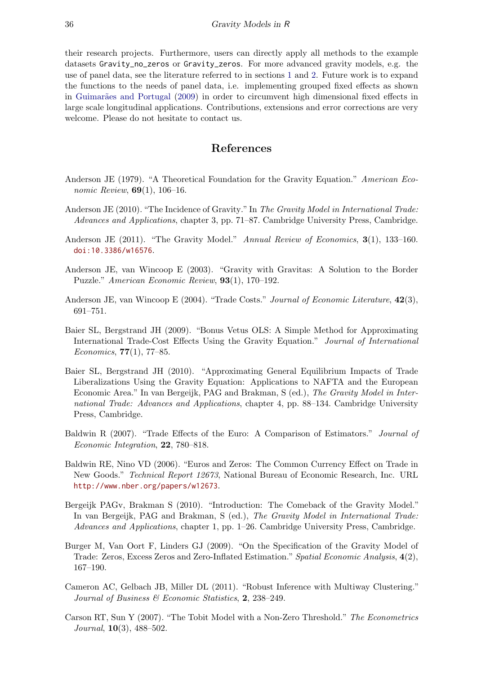their research projects. Furthermore, users can directly apply all methods to the example datasets Gravity\_no\_zeros or Gravity\_zeros. For more advanced gravity models, e.g. the use of panel data, see the literature referred to in sections [1](#page-0-0) and [2.](#page-2-4) Future work is to expand the functions to the needs of panel data, i.e. implementing grouped fixed effects as shown in Guimarães and Portugal [\(2009\)](#page-21-16) in order to circumvent high dimensional fixed effects in large scale longitudinal applications. Contributions, extensions and error corrections are very welcome. Please do not hesitate to contact us.

## References

- <span id="page-20-5"></span>Anderson JE (1979). "A Theoretical Foundation for the Gravity Equation." American Economic Review, **69**(1), 106–16.
- <span id="page-20-3"></span>Anderson JE (2010). "The Incidence of Gravity." In The Gravity Model in International Trade: Advances and Applications, chapter 3, pp. 71–87. Cambridge University Press, Cambridge.
- <span id="page-20-0"></span>Anderson JE (2011). "The Gravity Model." Annual Review of Economics, 3(1), 133–160. [doi:10.3386/w16576](http://dx.doi.org/10.3386/w16576).
- <span id="page-20-2"></span>Anderson JE, van Wincoop E (2003). "Gravity with Gravitas: A Solution to the Border Puzzle." American Economic Review, 93(1), 170–192.
- <span id="page-20-10"></span>Anderson JE, van Wincoop E (2004). "Trade Costs." Journal of Economic Literature, 42(3), 691–751.
- <span id="page-20-9"></span>Baier SL, Bergstrand JH (2009). "Bonus Vetus OLS: A Simple Method for Approximating International Trade-Cost Effects Using the Gravity Equation." Journal of International Economics,  $77(1)$ ,  $77-85$ .
- <span id="page-20-1"></span>Baier SL, Bergstrand JH (2010). "Approximating General Equilibrium Impacts of Trade Liberalizations Using the Gravity Equation: Applications to NAFTA and the European Economic Area." In van Bergeijk, PAG and Brakman, S (ed.), The Gravity Model in International Trade: Advances and Applications, chapter 4, pp. 88–134. Cambridge University Press, Cambridge.
- <span id="page-20-4"></span>Baldwin R (2007). "Trade Effects of the Euro: A Comparison of Estimators." Journal of Economic Integration, 22, 780–818.
- <span id="page-20-12"></span>Baldwin RE, Nino VD (2006). "Euros and Zeros: The Common Currency Effect on Trade in New Goods." Technical Report 12673, National Bureau of Economic Research, Inc. URL <http://www.nber.org/papers/w12673>.
- <span id="page-20-6"></span>Bergeijk PAGv, Brakman S (2010). "Introduction: The Comeback of the Gravity Model." In van Bergeijk, PAG and Brakman, S (ed.), The Gravity Model in International Trade: Advances and Applications, chapter 1, pp. 1–26. Cambridge University Press, Cambridge.
- <span id="page-20-8"></span>Burger M, Van Oort F, Linders GJ (2009). "On the Specification of the Gravity Model of Trade: Zeros, Excess Zeros and Zero-Inflated Estimation." Spatial Economic Analysis, 4(2), 167–190.
- <span id="page-20-11"></span>Cameron AC, Gelbach JB, Miller DL (2011). "Robust Inference with Multiway Clustering." Journal of Business & Economic Statistics, 2, 238–249.
- <span id="page-20-7"></span>Carson RT, Sun Y (2007). "The Tobit Model with a Non-Zero Threshold." The Econometrics Journal, 10(3), 488–502.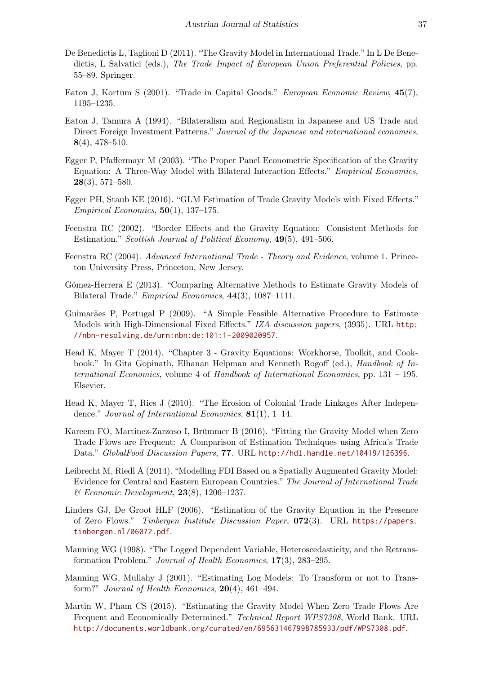- <span id="page-21-15"></span>De Benedictis L, Taglioni D (2011). "The Gravity Model in International Trade." In L De Benedictis, L Salvatici (eds.), The Trade Impact of European Union Preferential Policies, pp. 55–89. Springer.
- <span id="page-21-1"></span>Eaton J, Kortum S (2001). "Trade in Capital Goods." European Economic Review, 45(7), 1195–1235.
- <span id="page-21-0"></span>Eaton J, Tamura A (1994). "Bilateralism and Regionalism in Japanese and US Trade and Direct Foreign Investment Patterns." Journal of the Japanese and international economies, 8(4), 478–510.
- <span id="page-21-9"></span>Egger P, Pfaffermayr M (2003). "The Proper Panel Econometric Specification of the Gravity Equation: A Three-Way Model with Bilateral Interaction Effects." Empirical Economics,  $28(3), 571-580.$
- <span id="page-21-13"></span>Egger PH, Staub KE (2016). "GLM Estimation of Trade Gravity Models with Fixed Effects." Empirical Economics,  $50(1)$ , 137–175.
- <span id="page-21-11"></span>Feenstra RC (2002). "Border Effects and the Gravity Equation: Consistent Methods for Estimation." Scottish Journal of Political Economy, 49(5), 491–506.
- <span id="page-21-12"></span>Feenstra RC (2004). Advanced International Trade - Theory and Evidence, volume 1. Princeton University Press, Princeton, New Jersey.
- <span id="page-21-4"></span>G´omez-Herrera E (2013). "Comparing Alternative Methods to Estimate Gravity Models of Bilateral Trade." Empirical Economics, 44(3), 1087–1111.
- <span id="page-21-16"></span>Guimarães P, Portugal P (2009). "A Simple Feasible Alternative Procedure to Estimate Models with High-Dimensional Fixed Effects." IZA discussion papers, (3935). URL [http:](http://nbn-resolving.de/urn:nbn:de:101:1-2009020957) [//nbn-resolving.de/urn:nbn:de:101:1-2009020957](http://nbn-resolving.de/urn:nbn:de:101:1-2009020957).
- <span id="page-21-2"></span>Head K, Mayer T (2014). "Chapter 3 - Gravity Equations: Workhorse, Toolkit, and Cookbook." In Gita Gopinath, Elhanan Helpman and Kenneth Rogoff (ed.), Handbook of International Economics, volume 4 of Handbook of International Economics, pp. 131 – 195. Elsevier.
- <span id="page-21-10"></span>Head K, Mayer T, Ries J (2010). "The Erosion of Colonial Trade Linkages After Independence." Journal of International Economics, 81(1), 1–14.
- <span id="page-21-7"></span>Kareem FO, Martinez-Zarzoso I, Brümmer B (2016). "Fitting the Gravity Model when Zero Trade Flows are Frequent: A Comparison of Estimation Techniques using Africa's Trade Data." GlobalFood Discussion Papers, 77. URL <http://hdl.handle.net/10419/126396>.
- <span id="page-21-5"></span>Leibrecht M, Riedl A (2014). "Modelling FDI Based on a Spatially Augmented Gravity Model: Evidence for Central and Eastern European Countries." The Journal of International Trade  $\mathscr B$  Economic Development, 23(8), 1206–1237.
- <span id="page-21-8"></span>Linders GJ, De Groot HLF (2006). "Estimation of the Gravity Equation in the Presence of Zero Flows." Tinbergen Institute Discussion Paper, 072(3). URL [https://papers.](https://papers.tinbergen.nl/06072.pdf) [tinbergen.nl/06072.pdf](https://papers.tinbergen.nl/06072.pdf).
- <span id="page-21-3"></span>Manning WG (1998). "The Logged Dependent Variable, Heteroscedasticity, and the Retransformation Problem." Journal of Health Economics, 17(3), 283–295.
- <span id="page-21-14"></span>Manning WG, Mullahy J (2001). "Estimating Log Models: To Transform or not to Transform?" Journal of Health Economics,  $20(4)$ , 461–494.
- <span id="page-21-6"></span>Martin W, Pham CS (2015). "Estimating the Gravity Model When Zero Trade Flows Are Frequent and Economically Determined." Technical Report WPS7308, World Bank. URL <http://documents.worldbank.org/curated/en/695631467998785933/pdf/WPS7308.pdf>.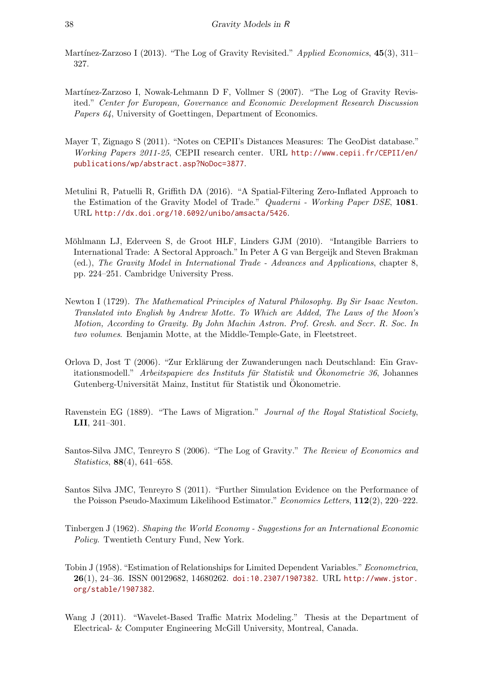- <span id="page-22-12"></span>Martínez-Zarzoso I (2013). "The Log of Gravity Revisited." Applied Economics,  $45(3)$ ,  $311-$ 327.
- <span id="page-22-6"></span>Martínez-Zarzoso I, Nowak-Lehmann D F, Vollmer S (2007). "The Log of Gravity Revisited." Center for European, Governance and Economic Development Research Discussion Papers 64, University of Goettingen, Department of Economics.
- <span id="page-22-8"></span>Mayer T, Zignago S (2011). "Notes on CEPII's Distances Measures: The GeoDist database." Working Papers 2011-25, CEPII research center. URL [http://www.cepii.fr/CEPII/en/](http://www.cepii.fr/CEPII/en/publications/wp/abstract.asp?NoDoc=3877) [publications/wp/abstract.asp?NoDoc=3877](http://www.cepii.fr/CEPII/en/publications/wp/abstract.asp?NoDoc=3877).
- <span id="page-22-7"></span>Metulini R, Patuelli R, Griffith DA (2016). "A Spatial-Filtering Zero-Inflated Approach to the Estimation of the Gravity Model of Trade." Quaderni - Working Paper DSE, 1081. URL <http://dx.doi.org/10.6092/unibo/amsacta/5426>.
- <span id="page-22-2"></span>Möhlmann LJ, Ederveen S, de Groot HLF, Linders GJM (2010). "Intangible Barriers to International Trade: A Sectoral Approach." In Peter A G van Bergeijk and Steven Brakman (ed.), The Gravity Model in International Trade - Advances and Applications, chapter 8, pp. 224–251. Cambridge University Press.
- <span id="page-22-3"></span>Newton I (1729). The Mathematical Principles of Natural Philosophy. By Sir Isaac Newton. Translated into English by Andrew Motte. To Which are Added, The Laws of the Moon's Motion, According to Gravity. By John Machin Astron. Prof. Gresh. and Secr. R. Soc. In two volumes. Benjamin Motte, at the Middle-Temple-Gate, in Fleetstreet.
- <span id="page-22-4"></span>Orlova D, Jost T (2006). "Zur Erklärung der Zuwanderungen nach Deutschland: Ein Gravitationsmodell." Arbeitspapiere des Instituts für Statistik und Ökonometrie 36, Johannes Gutenberg-Universität Mainz, Institut für Statistik und Ökonometrie.
- <span id="page-22-1"></span>Ravenstein EG (1889). "The Laws of Migration." Journal of the Royal Statistical Society, LII, 241–301.
- <span id="page-22-11"></span>Santos-Silva JMC, Tenreyro S (2006). "The Log of Gravity." The Review of Economics and Statistics, 88(4), 641–658.
- <span id="page-22-10"></span>Santos Silva JMC, Tenreyro S (2011). "Further Simulation Evidence on the Performance of the Poisson Pseudo-Maximum Likelihood Estimator." Economics Letters, 112(2), 220–222.
- <span id="page-22-0"></span>Tinbergen J (1962). Shaping the World Economy - Suggestions for an International Economic Policy. Twentieth Century Fund, New York.
- <span id="page-22-9"></span>Tobin J (1958). "Estimation of Relationships for Limited Dependent Variables." Econometrica, 26(1), 24–36. ISSN 00129682, 14680262. [doi:10.2307/1907382](http://dx.doi.org/10.2307/1907382). URL [http://www.jstor.](http://www.jstor.org/stable/1907382) [org/stable/1907382](http://www.jstor.org/stable/1907382).
- <span id="page-22-5"></span>Wang J (2011). "Wavelet-Based Traffic Matrix Modeling." Thesis at the Department of Electrical- & Computer Engineering McGill University, Montreal, Canada.